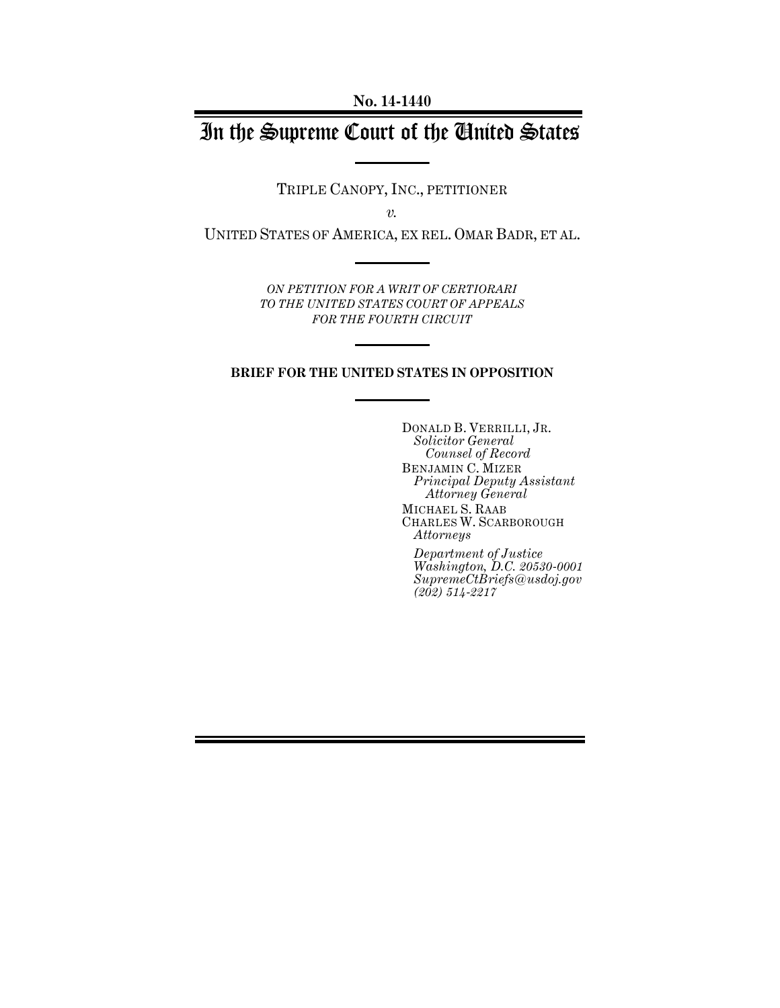**No. 14-1440**

# In the Supreme Court of the United States

TRIPLE CANOPY, INC., PETITIONER

*v.*

UNITED STATES OF AMERICA, EX REL. OMAR BADR, ET AL.

*ON PETITION FOR A WRIT OF CERTIORARI TO THE UNITED STATES COURT OF APPEALS FOR THE FOURTH CIRCUIT*

### **BRIEF FOR THE UNITED STATES IN OPPOSITION**

DONALD B. VERRILLI, JR. *Solicitor General Counsel of Record* BENJAMIN C. MIZER *Principal Deputy Assistant Attorney General* MICHAEL S. RAAB CHARLES W. SCARBOROUGH *Attorneys*

*Department of Justice Washington, D.C. 20530-0001 SupremeCtBriefs@usdoj.gov (202) 514-2217*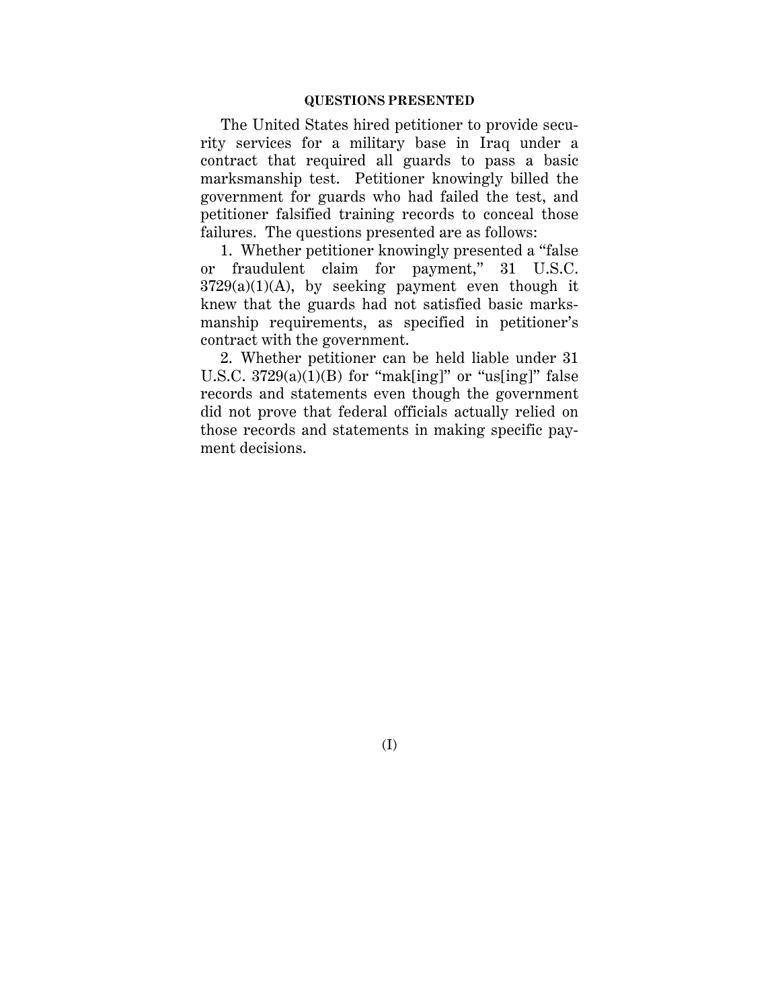### **QUESTIONS PRESENTED**

The United States hired petitioner to provide security services for a military base in Iraq under a contract that required all guards to pass a basic marksmanship test. Petitioner knowingly billed the government for guards who had failed the test, and petitioner falsified training records to conceal those failures. The questions presented are as follows:

1. Whether petitioner knowingly presented a "false or fraudulent claim for payment," 31 U.S.C.  $3729(a)(1)(A)$ , by seeking payment even though it knew that the guards had not satisfied basic marksmanship requirements, as specified in petitioner's contract with the government.

2. Whether petitioner can be held liable under 31 U.S.C.  $3729(a)(1)(B)$  for "mak[ing]" or "us[ing]" false records and statements even though the government did not prove that federal officials actually relied on those records and statements in making specific payment decisions.

(I)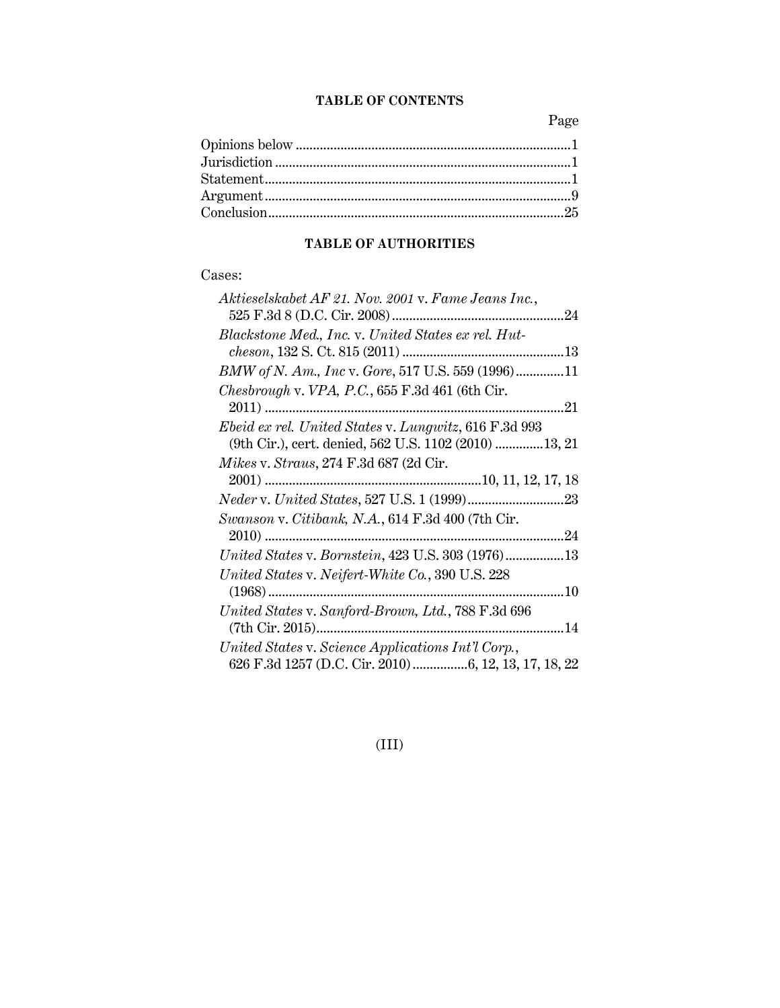## **TABLE OF CONTENTS**

Page

## **TABLE OF AUTHORITIES**

## Cases:

| Aktieselskabet AF 21. Nov. 2001 v. Fame Jeans Inc.,    |
|--------------------------------------------------------|
|                                                        |
| Blackstone Med., Inc. v. United States ex rel. Hut-    |
|                                                        |
| BMW of N. Am., Inc v. Gore, 517 U.S. 559 (1996)11      |
| Chesbrough v. VPA, P.C., $655$ F.3d 461 (6th Cir.      |
| .21                                                    |
| Ebeid ex rel. United States v. Lungwitz, 616 F.3d 993  |
| (9th Cir.), cert. denied, 562 U.S. 1102 (2010)  13, 21 |
| <i>Mikes v. Straus, 274 F.3d 687 (2d Cir.</i>          |
|                                                        |
|                                                        |
| Swanson v. Citibank, N.A., 614 F.3d 400 (7th Cir.      |
|                                                        |
| United States v. Bornstein, 423 U.S. 303 (1976)13      |
| United States v. Neifert-White Co., 390 U.S. 228       |
|                                                        |
| United States v. Sanford-Brown, Ltd., 788 F.3d 696     |
|                                                        |
| United States v. Science Applications Int'l Corp.,     |
| 626 F.3d 1257 (D.C. Cir. 2010) 6, 12, 13, 17, 18, 22   |

(III)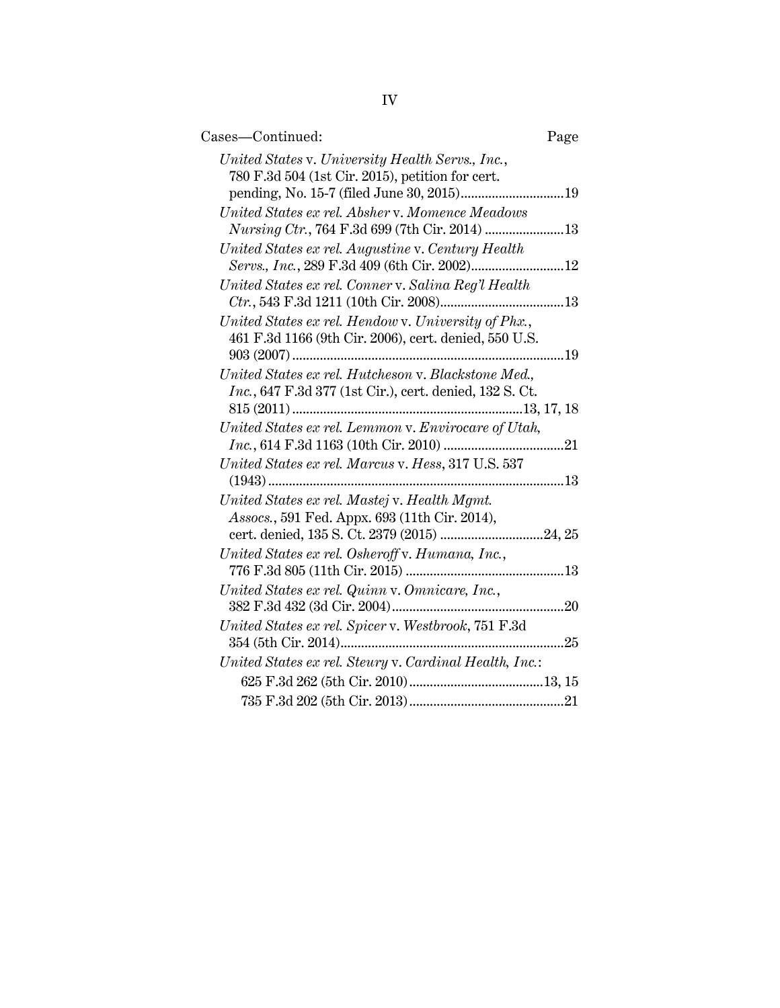| Cases-Continued:                                                                                                                             | Page |
|----------------------------------------------------------------------------------------------------------------------------------------------|------|
| United States v. University Health Servs., Inc.,<br>780 F.3d 504 (1st Cir. 2015), petition for cert.                                         |      |
| United States ex rel. Absher v. Momence Meadows<br>Nursing Ctr., 764 F.3d 699 (7th Cir. 2014) 13                                             |      |
| United States ex rel. Augustine v. Century Health<br>Servs., Inc., 289 F.3d 409 (6th Cir. 2002) 12                                           |      |
| United States ex rel. Conner v. Salina Reg'l Health                                                                                          |      |
| United States ex rel. Hendow v. University of Phx.,<br>461 F.3d 1166 (9th Cir. 2006), cert. denied, 550 U.S.                                 |      |
| United States ex rel. Hutcheson v. Blackstone Med.,<br>Inc., 647 F.3d 377 (1st Cir.), cert. denied, 132 S. Ct.                               |      |
| United States ex rel. Lemmon v. Envirocare of Utah,                                                                                          |      |
| United States ex rel. Marcus v. Hess, 317 U.S. 537                                                                                           |      |
| United States ex rel. Mastej v. Health Mgmt.<br>Assocs., 591 Fed. Appx. 693 (11th Cir. 2014),<br>cert. denied, 135 S. Ct. 2379 (2015) 24, 25 |      |
| United States ex rel. Osheroff v. Humana, Inc.,                                                                                              |      |
| United States ex rel. Quinn v. Omnicare, Inc.,                                                                                               |      |
| United States ex rel. Spicer v. Westbrook, 751 F.3d                                                                                          |      |
| United States ex rel. Steury v. Cardinal Health, Inc.:                                                                                       |      |
|                                                                                                                                              |      |
|                                                                                                                                              |      |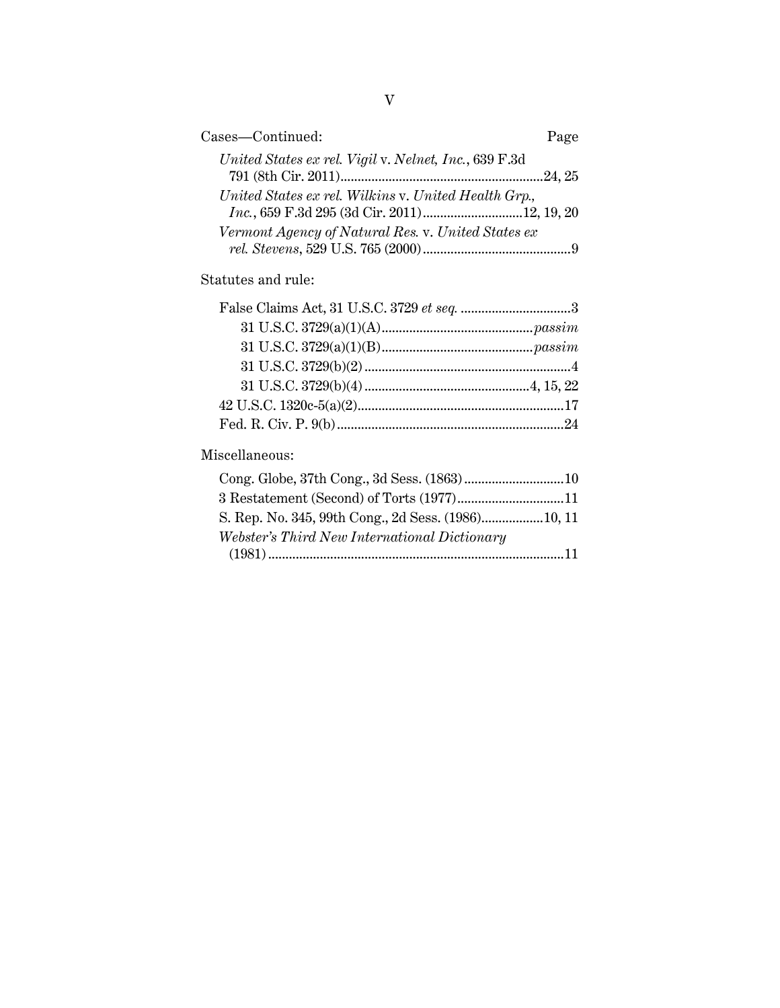| Cases-Continued:                                      | Page |
|-------------------------------------------------------|------|
| United States ex rel. Vigil v. Nelnet, Inc., 639 F.3d |      |
|                                                       |      |
| United States ex rel. Wilkins v. United Health Grp.,  |      |
| Inc., 659 F.3d 295 (3d Cir. 2011)12, 19, 20           |      |
| Vermont Agency of Natural Res. v. United States ex    |      |
|                                                       |      |
| Statutes and rule:                                    |      |
| $F_{0}$ leo Claime Aat 21 II S.C. 2790 at eag         | Q    |

## Miscellaneous:

| S. Rep. No. 345, 99th Cong., 2d Sess. (1986)10, 11 |  |
|----------------------------------------------------|--|
| Webster's Third New International Dictionary       |  |
|                                                    |  |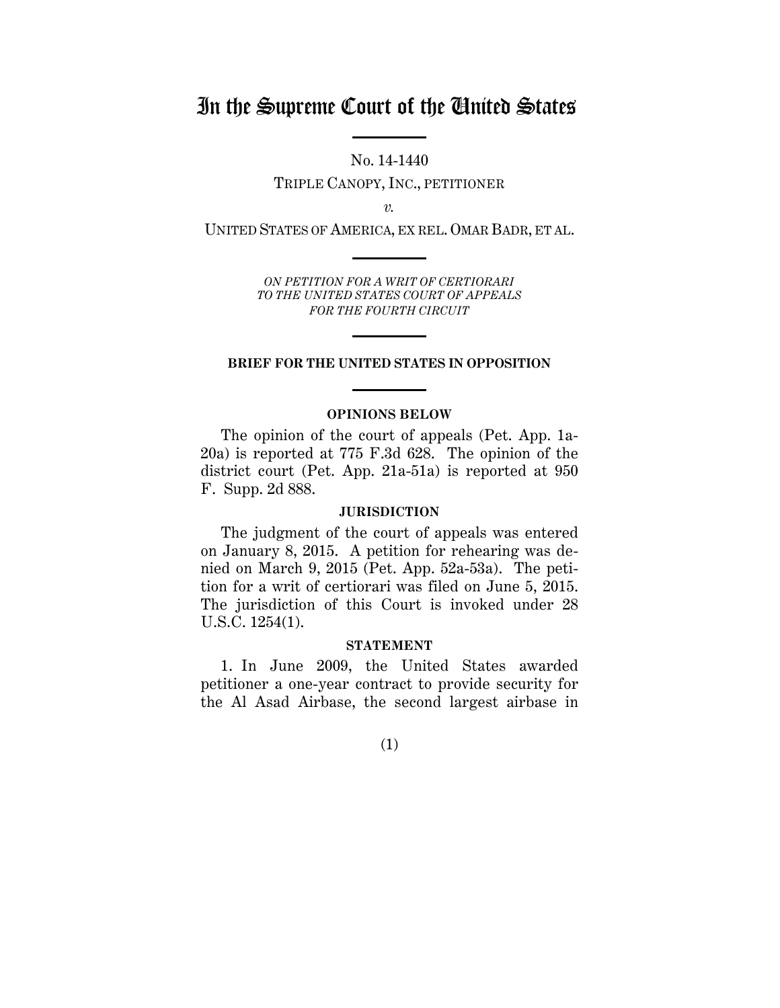## In the Supreme Court of the United States

No. 14-1440 TRIPLE CANOPY, INC., PETITIONER

*v.*

UNITED STATES OF AMERICA, EX REL. OMAR BADR, ET AL.

*ON PETITION FOR A WRIT OF CERTIORARI TO THE UNITED STATES COURT OF APPEALS FOR THE FOURTH CIRCUIT*

### **BRIEF FOR THE UNITED STATES IN OPPOSITION**

### **OPINIONS BELOW**

The opinion of the court of appeals (Pet. App. 1a-20a) is reported at 775 F.3d 628. The opinion of the district court (Pet. App. 21a-51a) is reported at 950 F. Supp. 2d 888.

### **JURISDICTION**

The judgment of the court of appeals was entered on January 8, 2015. A petition for rehearing was denied on March 9, 2015 (Pet. App. 52a-53a). The petition for a writ of certiorari was filed on June 5, 2015. The jurisdiction of this Court is invoked under 28 U.S.C. 1254(1).

#### **STATEMENT**

1. In June 2009, the United States awarded petitioner a one-year contract to provide security for the Al Asad Airbase, the second largest airbase in

(1)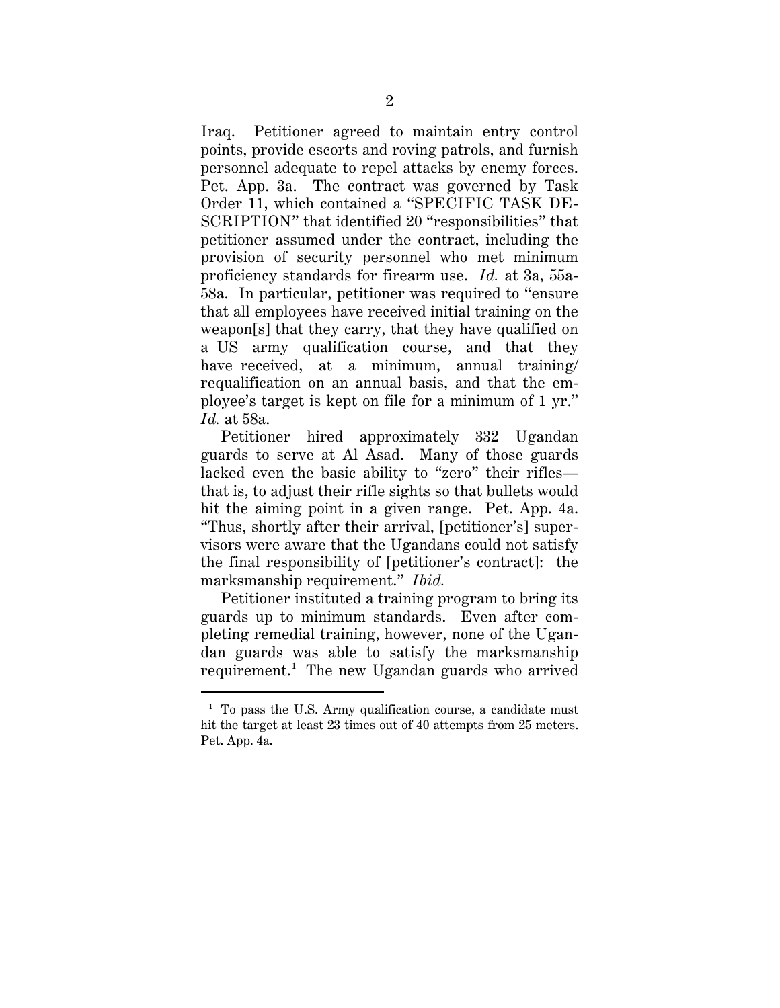Iraq. Petitioner agreed to maintain entry control points, provide escorts and roving patrols, and furnish personnel adequate to repel attacks by enemy forces. Pet. App. 3a. The contract was governed by Task Order 11, which contained a "SPECIFIC TASK DE-SCRIPTION" that identified 20 "responsibilities" that petitioner assumed under the contract, including the provision of security personnel who met minimum proficiency standards for firearm use. *Id.* at 3a, 55a-58a. In particular, petitioner was required to "ensure that all employees have received initial training on the weapon[s] that they carry, that they have qualified on a US army qualification course, and that they have received, at a minimum, annual training requalification on an annual basis, and that the employee's target is kept on file for a minimum of 1 yr." *Id.* at 58a.

Petitioner hired approximately 332 Ugandan guards to serve at Al Asad. Many of those guards lacked even the basic ability to "zero" their rifles that is, to adjust their rifle sights so that bullets would hit the aiming point in a given range. Pet. App. 4a. "Thus, shortly after their arrival, [petitioner's] supervisors were aware that the Ugandans could not satisfy the final responsibility of [petitioner's contract]: the marksmanship requirement." *Ibid.*

Petitioner instituted a training program to bring its guards up to minimum standards. Even after completing remedial training, however, none of the Ugandan guards was able to satisfy the marksmanship requirement.<sup>1</sup> The new Ugandan guards who arrived

 $1$  To pass the U.S. Army qualification course, a candidate must hit the target at least 23 times out of 40 attempts from 25 meters. Pet. App. 4a.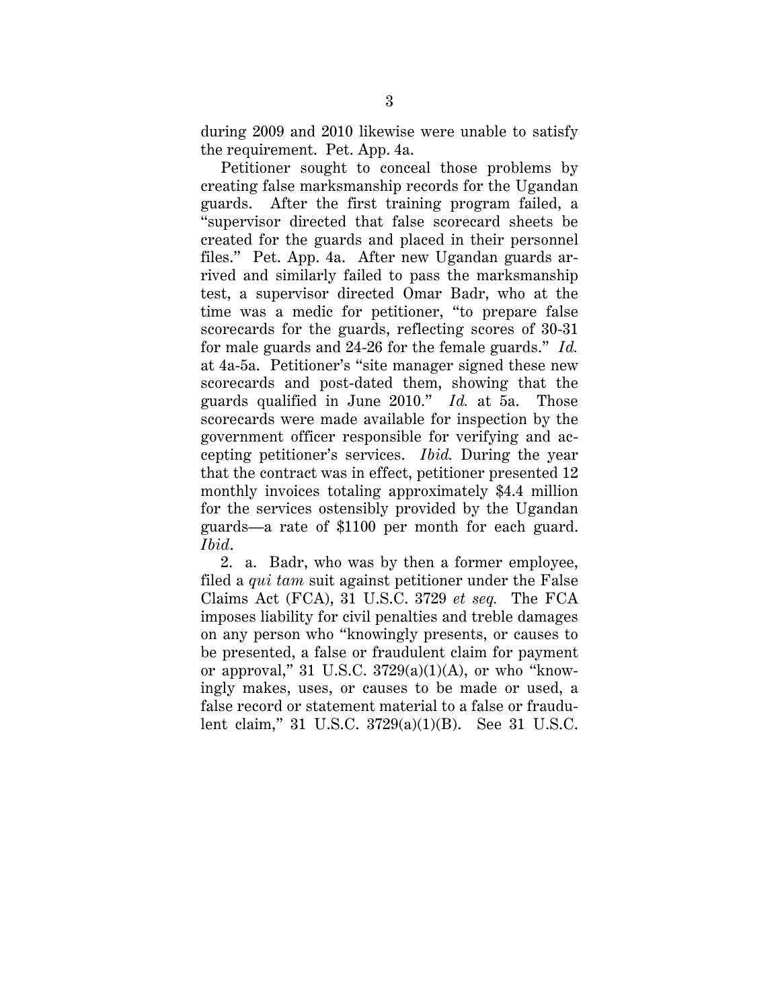during 2009 and 2010 likewise were unable to satisfy the requirement. Pet. App. 4a.

Petitioner sought to conceal those problems by creating false marksmanship records for the Ugandan guards. After the first training program failed, a "supervisor directed that false scorecard sheets be created for the guards and placed in their personnel files." Pet. App. 4a. After new Ugandan guards arrived and similarly failed to pass the marksmanship test, a supervisor directed Omar Badr, who at the time was a medic for petitioner, "to prepare false scorecards for the guards, reflecting scores of 30-31 for male guards and 24-26 for the female guards." *Id.* at 4a-5a. Petitioner's "site manager signed these new scorecards and post-dated them, showing that the guards qualified in June 2010." *Id.* at 5a. Those scorecards were made available for inspection by the government officer responsible for verifying and accepting petitioner's services. *Ibid.* During the year that the contract was in effect, petitioner presented 12 monthly invoices totaling approximately \$4.4 million for the services ostensibly provided by the Ugandan guards—a rate of \$1100 per month for each guard. *Ibid*.

2. a. Badr, who was by then a former employee, filed a *qui tam* suit against petitioner under the False Claims Act (FCA), 31 U.S.C. 3729 *et seq.* The FCA imposes liability for civil penalties and treble damages on any person who "knowingly presents, or causes to be presented, a false or fraudulent claim for payment or approval," 31 U.S.C.  $3729(a)(1)(A)$ , or who "knowingly makes, uses, or causes to be made or used, a false record or statement material to a false or fraudulent claim," 31 U.S.C. 3729(a)(1)(B). See 31 U.S.C.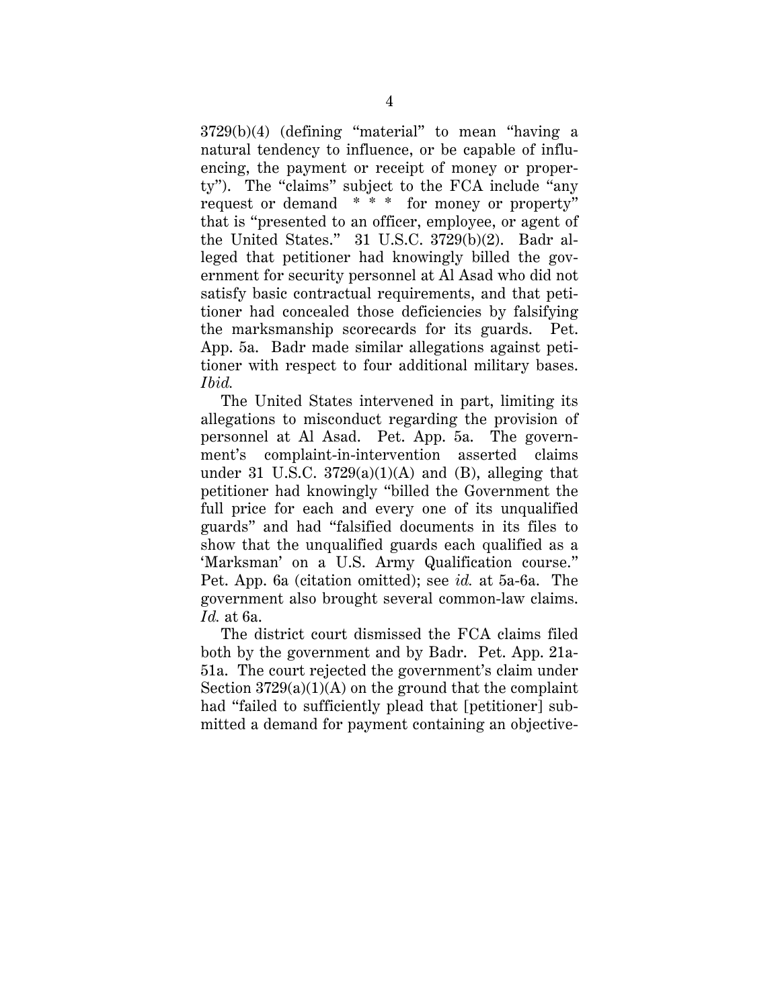3729(b)(4) (defining "material" to mean "having a natural tendency to influence, or be capable of influencing, the payment or receipt of money or property"). The "claims" subject to the FCA include "any request or demand \* \* \* for money or property" that is "presented to an officer, employee, or agent of the United States." 31 U.S.C. 3729(b)(2). Badr alleged that petitioner had knowingly billed the government for security personnel at Al Asad who did not satisfy basic contractual requirements, and that petitioner had concealed those deficiencies by falsifying the marksmanship scorecards for its guards. Pet. App. 5a. Badr made similar allegations against petitioner with respect to four additional military bases. *Ibid.*

The United States intervened in part, limiting its allegations to misconduct regarding the provision of personnel at Al Asad. Pet. App. 5a. The government's complaint-in-intervention asserted claims under 31 U.S.C.  $3729(a)(1)(A)$  and (B), alleging that petitioner had knowingly "billed the Government the full price for each and every one of its unqualified guards" and had "falsified documents in its files to show that the unqualified guards each qualified as a 'Marksman' on a U.S. Army Qualification course." Pet. App. 6a (citation omitted); see *id.* at 5a-6a. The government also brought several common-law claims. *Id.* at 6a.

The district court dismissed the FCA claims filed both by the government and by Badr. Pet. App. 21a-51a. The court rejected the government's claim under Section  $3729(a)(1)(A)$  on the ground that the complaint had "failed to sufficiently plead that [petitioner] submitted a demand for payment containing an objective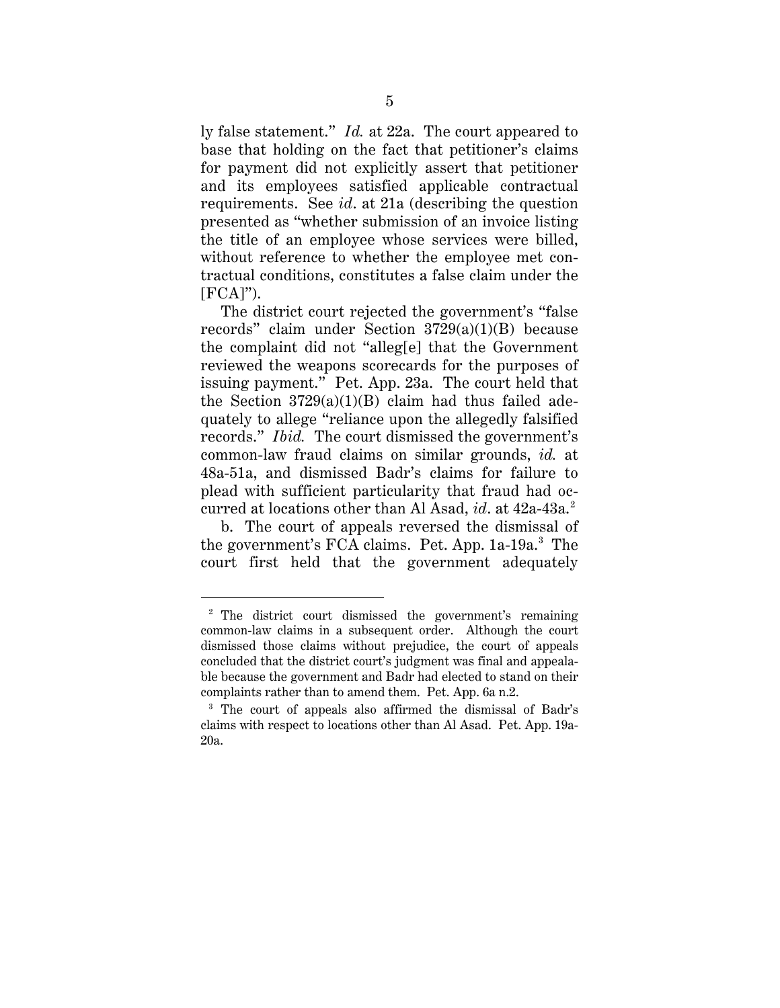ly false statement." *Id.* at 22a. The court appeared to base that holding on the fact that petitioner's claims for payment did not explicitly assert that petitioner and its employees satisfied applicable contractual requirements. See *id*. at 21a (describing the question presented as "whether submission of an invoice listing the title of an employee whose services were billed, without reference to whether the employee met contractual conditions, constitutes a false claim under the  $[FCA]$ ").

The district court rejected the government's "false records" claim under Section 3729(a)(1)(B) because the complaint did not "alleg[e] that the Government reviewed the weapons scorecards for the purposes of issuing payment." Pet. App. 23a. The court held that the Section  $3729(a)(1)(B)$  claim had thus failed adequately to allege "reliance upon the allegedly falsified records." *Ibid.* The court dismissed the government's common-law fraud claims on similar grounds, *id.* at 48a-51a, and dismissed Badr's claims for failure to plead with sufficient particularity that fraud had occurred at locations other than Al Asad, *id.* at 42a-43a.<sup>2</sup>

b. The court of appeals reversed the dismissal of the government's FCA claims. Pet. App. 1a-19a.<sup>3</sup> The court first held that the government adequately

 <sup>2</sup> The district court dismissed the government's remaining common-law claims in a subsequent order. Although the court dismissed those claims without prejudice, the court of appeals concluded that the district court's judgment was final and appealable because the government and Badr had elected to stand on their complaints rather than to amend them. Pet. App. 6a n.2.<br><sup>3</sup> The court of appeals also affirmed the dismissal of Badr's

claims with respect to locations other than Al Asad. Pet. App. 19a-20a.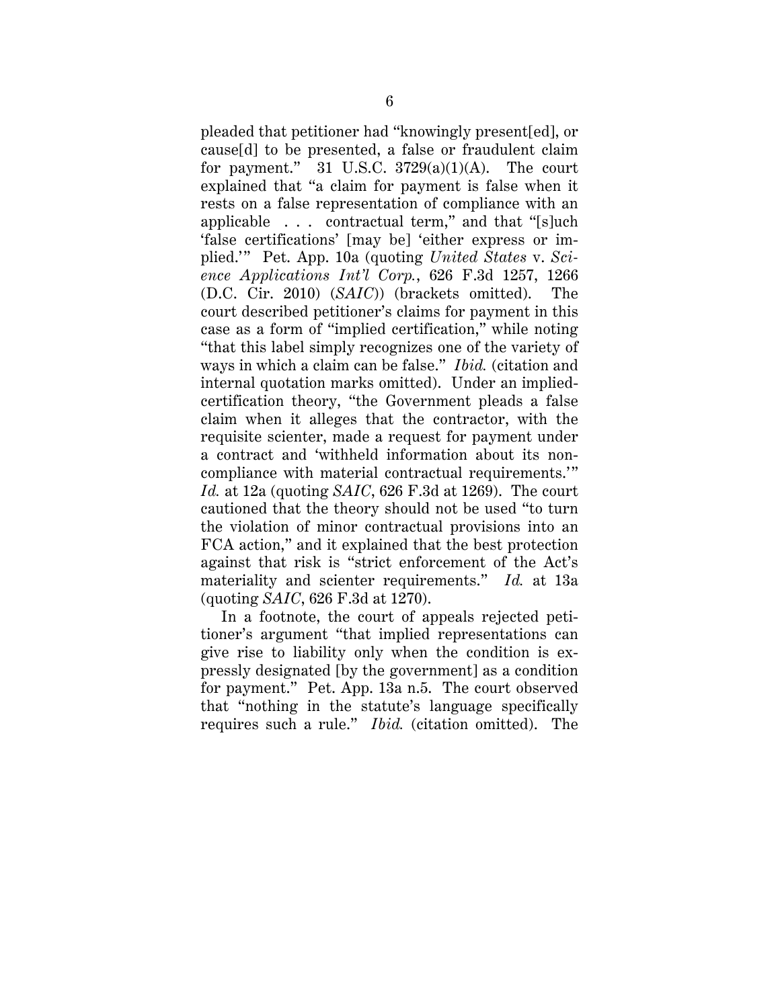pleaded that petitioner had "knowingly present[ed], or cause[d] to be presented, a false or fraudulent claim for payment." 31 U.S.C.  $3729(a)(1)(A)$ . The court explained that "a claim for payment is false when it rests on a false representation of compliance with an applicable . . . contractual term," and that "[s]uch 'false certifications' [may be] 'either express or implied.'" Pet. App. 10a (quoting *United States* v. *Science Applications Int'l Corp.*, 626 F.3d 1257, 1266 (D.C. Cir. 2010) (*SAIC*)) (brackets omitted). The court described petitioner's claims for payment in this case as a form of "implied certification," while noting "that this label simply recognizes one of the variety of ways in which a claim can be false." *Ibid.* (citation and internal quotation marks omitted). Under an impliedcertification theory, "the Government pleads a false claim when it alleges that the contractor, with the requisite scienter, made a request for payment under a contract and 'withheld information about its noncompliance with material contractual requirements.'" *Id.* at 12a (quoting *SAIC*, 626 F.3d at 1269). The court cautioned that the theory should not be used "to turn the violation of minor contractual provisions into an FCA action," and it explained that the best protection against that risk is "strict enforcement of the Act's materiality and scienter requirements." *Id.* at 13a (quoting *SAIC*, 626 F.3d at 1270).

In a footnote, the court of appeals rejected petitioner's argument "that implied representations can give rise to liability only when the condition is expressly designated [by the government] as a condition for payment." Pet. App. 13a n.5. The court observed that "nothing in the statute's language specifically requires such a rule." *Ibid.* (citation omitted). The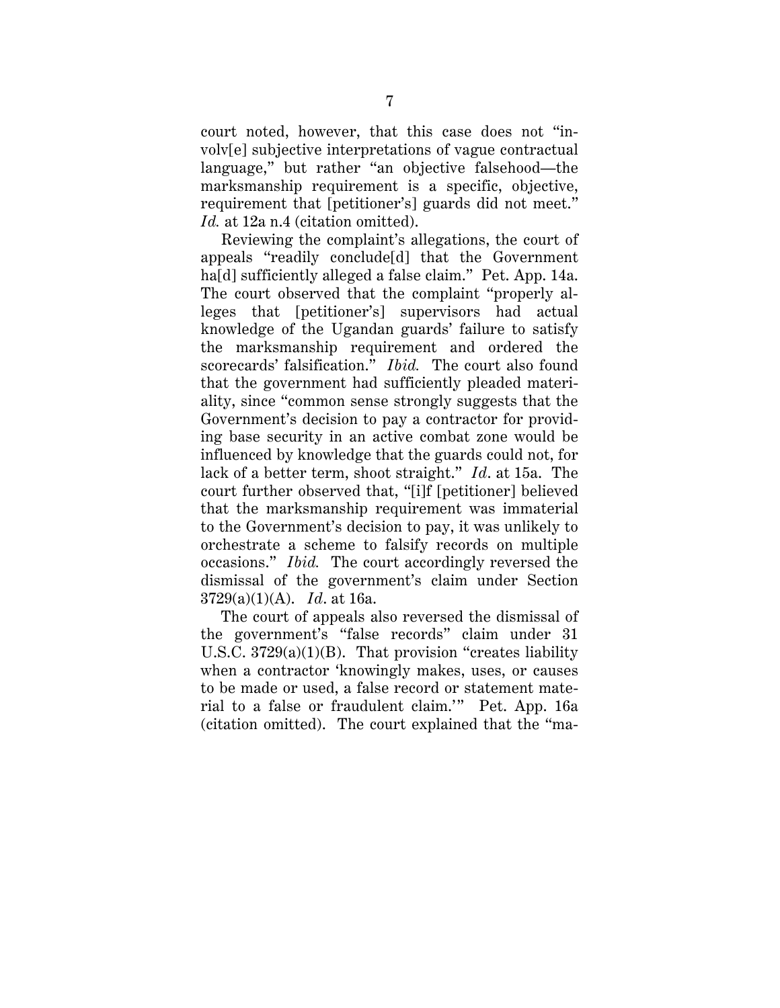court noted, however, that this case does not "involv[e] subjective interpretations of vague contractual language," but rather "an objective falsehood—the marksmanship requirement is a specific, objective, requirement that [petitioner's] guards did not meet." *Id.* at 12a n.4 (citation omitted).

Reviewing the complaint's allegations, the court of appeals "readily conclude[d] that the Government ha[d] sufficiently alleged a false claim." Pet. App. 14a. The court observed that the complaint "properly alleges that [petitioner's] supervisors had actual knowledge of the Ugandan guards' failure to satisfy the marksmanship requirement and ordered the scorecards' falsification." *Ibid.* The court also found that the government had sufficiently pleaded materiality, since "common sense strongly suggests that the Government's decision to pay a contractor for providing base security in an active combat zone would be influenced by knowledge that the guards could not, for lack of a better term, shoot straight." *Id*. at 15a. The court further observed that, "[i]f [petitioner] believed that the marksmanship requirement was immaterial to the Government's decision to pay, it was unlikely to orchestrate a scheme to falsify records on multiple occasions." *Ibid.* The court accordingly reversed the dismissal of the government's claim under Section 3729(a)(1)(A). *Id*. at 16a.

The court of appeals also reversed the dismissal of the government's "false records" claim under 31 U.S.C. 3729(a)(1)(B). That provision "creates liability when a contractor 'knowingly makes, uses, or causes to be made or used, a false record or statement material to a false or fraudulent claim.'" Pet. App. 16a (citation omitted). The court explained that the "ma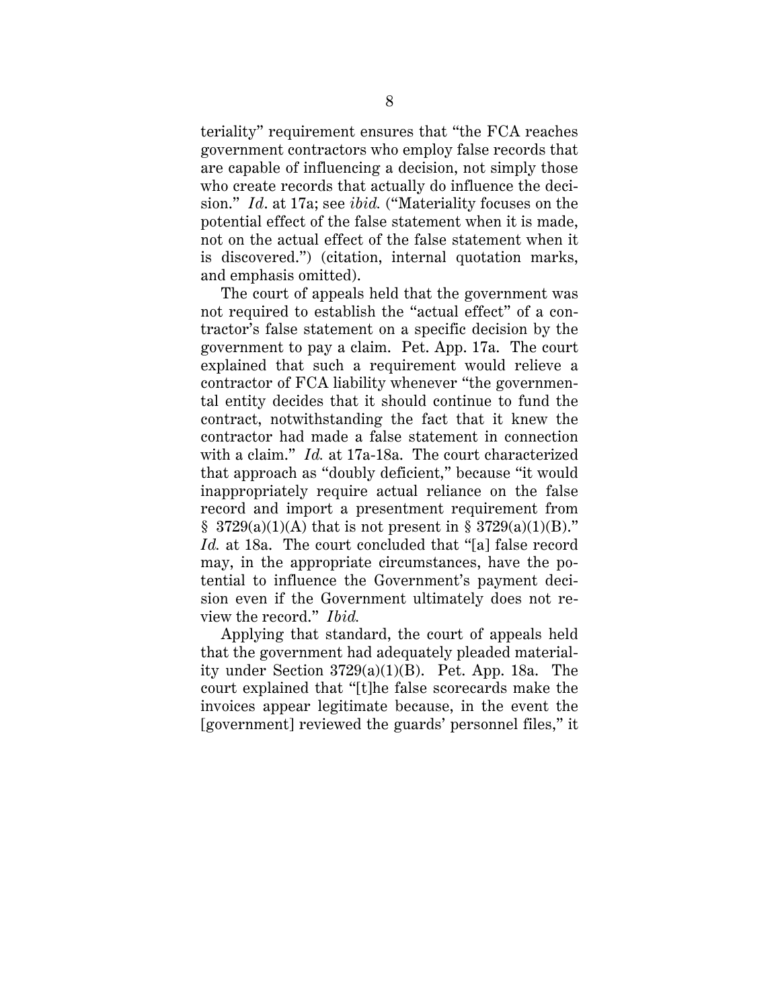teriality" requirement ensures that "the FCA reaches government contractors who employ false records that are capable of influencing a decision, not simply those who create records that actually do influence the decision." *Id*. at 17a; see *ibid.* ("Materiality focuses on the potential effect of the false statement when it is made, not on the actual effect of the false statement when it is discovered.") (citation, internal quotation marks, and emphasis omitted).

The court of appeals held that the government was not required to establish the "actual effect" of a contractor's false statement on a specific decision by the government to pay a claim. Pet. App. 17a. The court explained that such a requirement would relieve a contractor of FCA liability whenever "the governmental entity decides that it should continue to fund the contract, notwithstanding the fact that it knew the contractor had made a false statement in connection with a claim." *Id.* at 17a-18a. The court characterized that approach as "doubly deficient," because "it would inappropriately require actual reliance on the false record and import a presentment requirement from  $$ 3729(a)(1)(A)$  that is not present in  $$ 3729(a)(1)(B)."$ *Id.* at 18a. The court concluded that "[a] false record may, in the appropriate circumstances, have the potential to influence the Government's payment decision even if the Government ultimately does not review the record." *Ibid.*

Applying that standard, the court of appeals held that the government had adequately pleaded materiality under Section 3729(a)(1)(B). Pet. App. 18a. The court explained that "[t]he false scorecards make the invoices appear legitimate because, in the event the [government] reviewed the guards' personnel files," it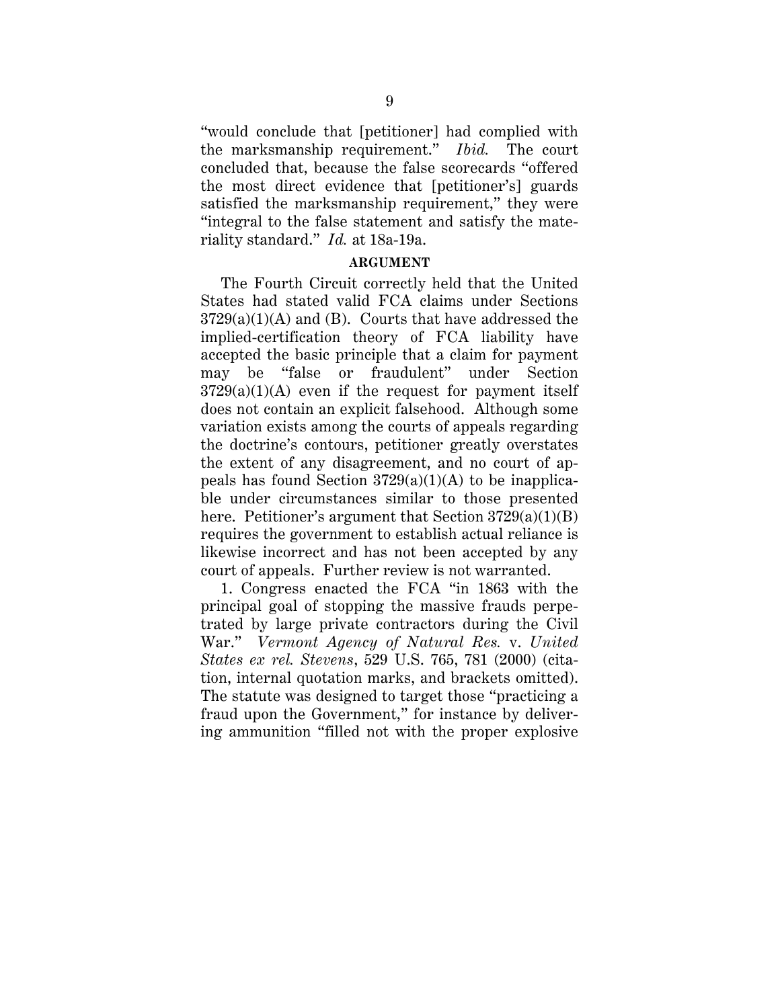"would conclude that [petitioner] had complied with the marksmanship requirement." *Ibid.* The court concluded that, because the false scorecards "offered the most direct evidence that [petitioner's] guards satisfied the marksmanship requirement," they were "integral to the false statement and satisfy the materiality standard." *Id.* at 18a-19a.

### **ARGUMENT**

The Fourth Circuit correctly held that the United States had stated valid FCA claims under Sections  $3729(a)(1)(A)$  and (B). Courts that have addressed the implied-certification theory of FCA liability have accepted the basic principle that a claim for payment may be "false or fraudulent" under Section  $3729(a)(1)(A)$  even if the request for payment itself does not contain an explicit falsehood. Although some variation exists among the courts of appeals regarding the doctrine's contours, petitioner greatly overstates the extent of any disagreement, and no court of appeals has found Section  $3729(a)(1)(A)$  to be inapplicable under circumstances similar to those presented here. Petitioner's argument that Section 3729(a)(1)(B) requires the government to establish actual reliance is likewise incorrect and has not been accepted by any court of appeals. Further review is not warranted.

1. Congress enacted the FCA "in 1863 with the principal goal of stopping the massive frauds perpetrated by large private contractors during the Civil War." *Vermont Agency of Natural Res.* v. *United States ex rel. Stevens*, 529 U.S. 765, 781 (2000) (citation, internal quotation marks, and brackets omitted). The statute was designed to target those "practicing a fraud upon the Government," for instance by delivering ammunition "filled not with the proper explosive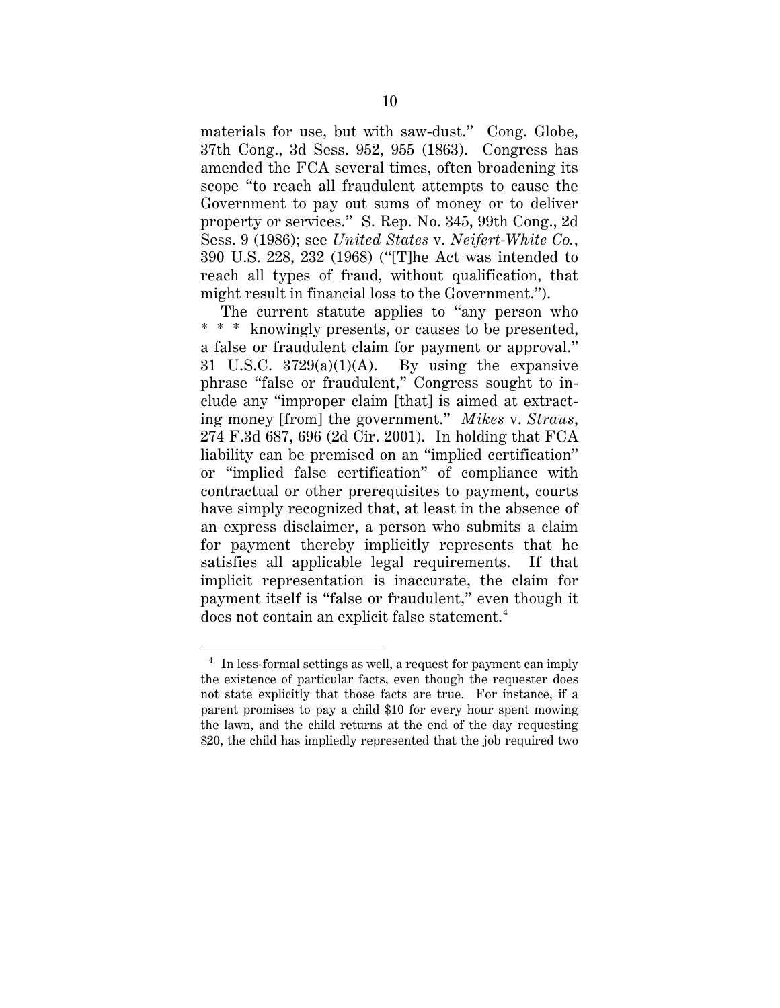materials for use, but with saw-dust." Cong. Globe, 37th Cong., 3d Sess. 952, 955 (1863). Congress has amended the FCA several times, often broadening its scope "to reach all fraudulent attempts to cause the Government to pay out sums of money or to deliver property or services." S. Rep. No. 345, 99th Cong., 2d Sess. 9 (1986); see *United States* v. *Neifert-White Co.*, 390 U.S. 228, 232 (1968) ("[T]he Act was intended to reach all types of fraud, without qualification, that might result in financial loss to the Government.").

The current statute applies to "any person who \* \* \* knowingly presents, or causes to be presented, a false or fraudulent claim for payment or approval." 31 U.S.C.  $3729(a)(1)(A)$ . By using the expansive phrase "false or fraudulent," Congress sought to include any "improper claim [that] is aimed at extracting money [from] the government." *Mikes* v. *Straus*, 274 F.3d 687, 696 (2d Cir. 2001). In holding that FCA liability can be premised on an "implied certification" or "implied false certification" of compliance with contractual or other prerequisites to payment, courts have simply recognized that, at least in the absence of an express disclaimer, a person who submits a claim for payment thereby implicitly represents that he satisfies all applicable legal requirements. If that implicit representation is inaccurate, the claim for payment itself is "false or fraudulent," even though it does not contain an explicit false statement. 4

<sup>&</sup>lt;sup>4</sup> In less-formal settings as well, a request for payment can imply the existence of particular facts, even though the requester does not state explicitly that those facts are true. For instance, if a parent promises to pay a child \$10 for every hour spent mowing the lawn, and the child returns at the end of the day requesting \$20, the child has impliedly represented that the job required two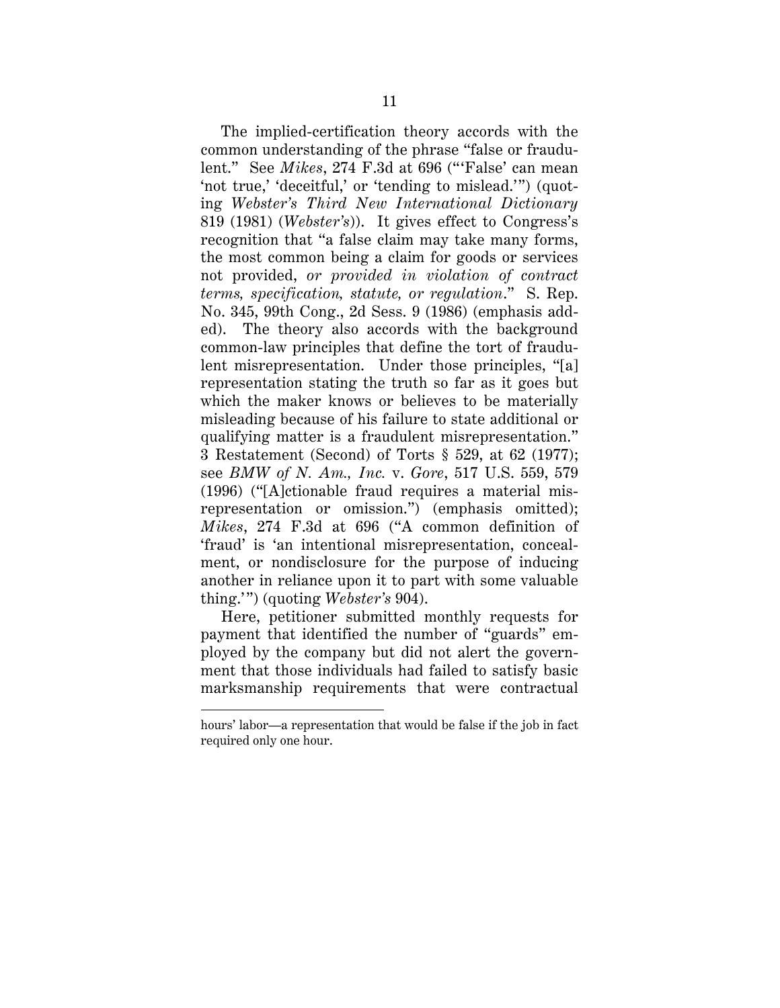The implied-certification theory accords with the common understanding of the phrase "false or fraudulent." See *Mikes*, 274 F.3d at 696 ("'False' can mean 'not true,' 'deceitful,' or 'tending to mislead.'") (quoting *Webster's Third New International Dictionary* 819 (1981) (*Webster's*)). It gives effect to Congress's recognition that "a false claim may take many forms, the most common being a claim for goods or services not provided, *or provided in violation of contract terms, specification, statute, or regulation*." S. Rep. No. 345, 99th Cong., 2d Sess. 9 (1986) (emphasis added). The theory also accords with the background common-law principles that define the tort of fraudulent misrepresentation. Under those principles, "[a] representation stating the truth so far as it goes but which the maker knows or believes to be materially misleading because of his failure to state additional or qualifying matter is a fraudulent misrepresentation." 3 Restatement (Second) of Torts § 529, at 62 (1977); see *BMW of N. Am., Inc.* v. *Gore*, 517 U.S. 559, 579 (1996) ("[A]ctionable fraud requires a material misrepresentation or omission.") (emphasis omitted); *Mikes*, 274 F.3d at 696 ("A common definition of 'fraud' is 'an intentional misrepresentation, concealment, or nondisclosure for the purpose of inducing another in reliance upon it to part with some valuable thing.' ") (quoting *Webster's* 904).

Here, petitioner submitted monthly requests for payment that identified the number of "guards" employed by the company but did not alert the government that those individuals had failed to satisfy basic marksmanship requirements that were contractual

 $\overline{a}$ 

hours' labor—a representation that would be false if the job in fact required only one hour.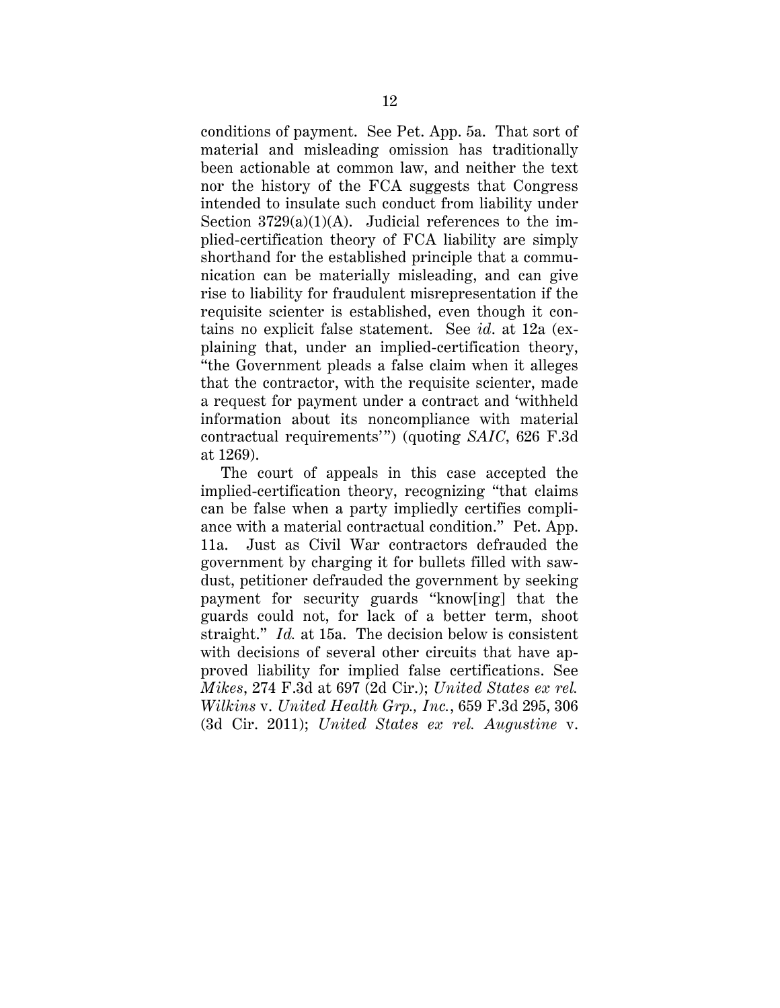conditions of payment. See Pet. App. 5a. That sort of material and misleading omission has traditionally been actionable at common law, and neither the text nor the history of the FCA suggests that Congress intended to insulate such conduct from liability under Section  $3729(a)(1)(A)$ . Judicial references to the implied-certification theory of FCA liability are simply shorthand for the established principle that a communication can be materially misleading, and can give rise to liability for fraudulent misrepresentation if the requisite scienter is established, even though it contains no explicit false statement. See *id*. at 12a (explaining that, under an implied-certification theory, "the Government pleads a false claim when it alleges that the contractor, with the requisite scienter, made a request for payment under a contract and 'withheld information about its noncompliance with material contractual requirements'") (quoting *SAIC*, 626 F.3d at 1269).

The court of appeals in this case accepted the implied-certification theory, recognizing "that claims can be false when a party impliedly certifies compliance with a material contractual condition." Pet. App. 11a. Just as Civil War contractors defrauded the government by charging it for bullets filled with sawdust, petitioner defrauded the government by seeking payment for security guards "know[ing] that the guards could not, for lack of a better term, shoot straight." *Id.* at 15a. The decision below is consistent with decisions of several other circuits that have approved liability for implied false certifications. See *Mikes*, 274 F.3d at 697 (2d Cir.); *United States ex rel. Wilkins* v. *United Health Grp., Inc.*, 659 F.3d 295, 306 (3d Cir. 2011); *United States ex rel. Augustine* v.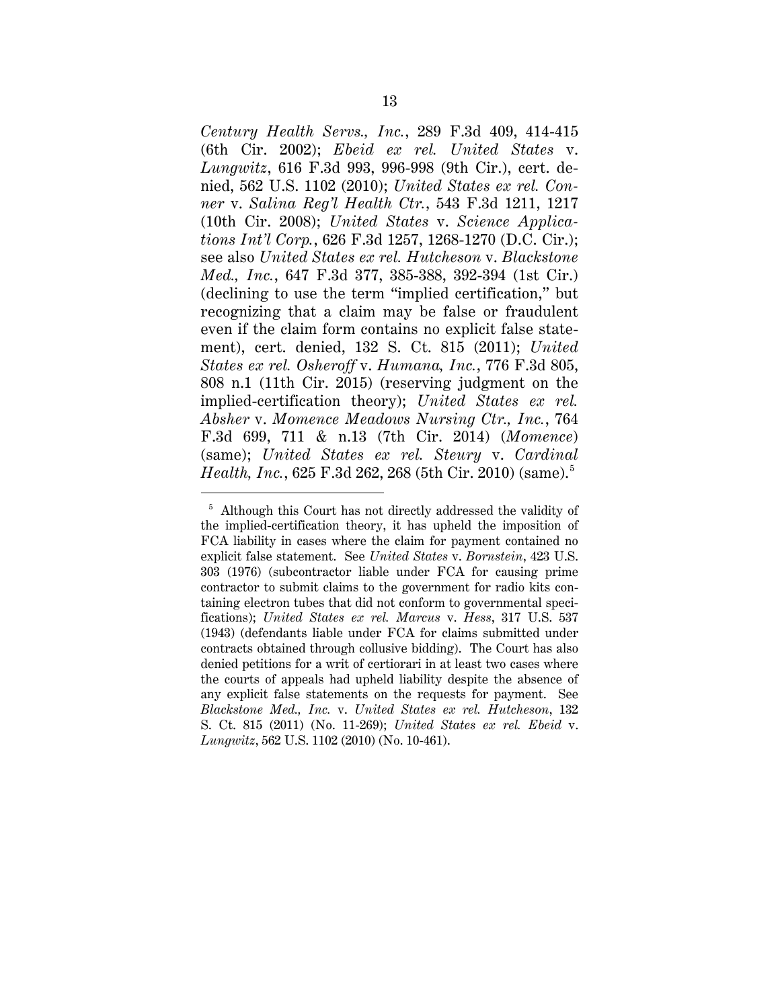*Century Health Servs., Inc.*, 289 F.3d 409, 414-415 (6th Cir. 2002); *Ebeid ex rel. United States* v. *Lungwitz*, 616 F.3d 993, 996-998 (9th Cir.), cert. denied, 562 U.S. 1102 (2010); *United States ex rel. Conner* v. *Salina Reg'l Health Ctr.*, 543 F.3d 1211, 1217 (10th Cir. 2008); *United States* v. *Science Applications Int'l Corp.*, 626 F.3d 1257, 1268-1270 (D.C. Cir.); see also *United States ex rel. Hutcheson* v. *Blackstone Med., Inc.*, 647 F.3d 377, 385-388, 392-394 (1st Cir.) (declining to use the term "implied certification," but recognizing that a claim may be false or fraudulent even if the claim form contains no explicit false statement), cert. denied, 132 S. Ct. 815 (2011); *United States ex rel. Osheroff* v. *Humana, Inc.*, 776 F.3d 805, 808 n.1 (11th Cir. 2015) (reserving judgment on the implied-certification theory); *United States ex rel. Absher* v. *Momence Meadows Nursing Ctr., Inc.*, 764 F.3d 699, 711 & n.13 (7th Cir. 2014) (*Momence*) (same); *United States ex rel. Steury* v. *Cardinal Health, Inc.*, 625 F.3d 262, 268 (5th Cir. 2010) (same). 5

<sup>&</sup>lt;sup>5</sup> Although this Court has not directly addressed the validity of the implied-certification theory, it has upheld the imposition of FCA liability in cases where the claim for payment contained no explicit false statement. See *United States* v. *Bornstein*, 423 U.S. 303 (1976) (subcontractor liable under FCA for causing prime contractor to submit claims to the government for radio kits containing electron tubes that did not conform to governmental specifications); *United States ex rel. Marcus* v. *Hess*, 317 U.S. 537 (1943) (defendants liable under FCA for claims submitted under contracts obtained through collusive bidding). The Court has also denied petitions for a writ of certiorari in at least two cases where the courts of appeals had upheld liability despite the absence of any explicit false statements on the requests for payment. See *Blackstone Med., Inc.* v. *United States ex rel. Hutcheson*, 132 S. Ct. 815 (2011) (No. 11-269); *United States ex rel. Ebeid* v. *Lungwitz*, 562 U.S. 1102 (2010) (No. 10-461).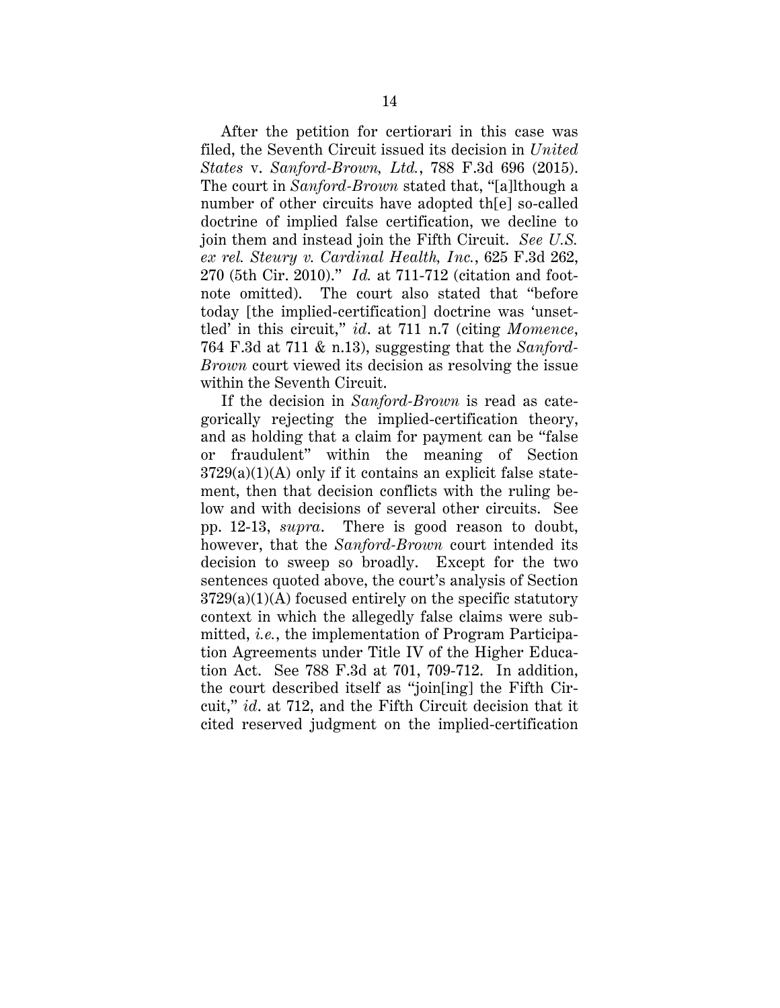After the petition for certiorari in this case was filed, the Seventh Circuit issued its decision in *United States* v. *Sanford-Brown, Ltd.*, 788 F.3d 696 (2015). The court in *Sanford-Brown* stated that, "[a]lthough a number of other circuits have adopted th[e] so-called doctrine of implied false certification, we decline to join them and instead join the Fifth Circuit. *See U.S. ex rel. Steury v. Cardinal Health, Inc.*, 625 F.3d 262, 270 (5th Cir. 2010)." *Id.* at 711-712 (citation and footnote omitted). The court also stated that "before today [the implied-certification] doctrine was 'unsettled' in this circuit," *id*. at 711 n.7 (citing *Momence*, 764 F.3d at 711 & n.13), suggesting that the *Sanford-Brown* court viewed its decision as resolving the issue within the Seventh Circuit.

If the decision in *Sanford-Brown* is read as categorically rejecting the implied-certification theory, and as holding that a claim for payment can be "false or fraudulent" within the meaning of Section  $3729(a)(1)(A)$  only if it contains an explicit false statement, then that decision conflicts with the ruling below and with decisions of several other circuits. See pp. 12-13, *supra*. There is good reason to doubt, however, that the *Sanford-Brown* court intended its decision to sweep so broadly. Except for the two sentences quoted above, the court's analysis of Section  $3729(a)(1)(A)$  focused entirely on the specific statutory context in which the allegedly false claims were submitted, *i.e.*, the implementation of Program Participation Agreements under Title IV of the Higher Education Act. See 788 F.3d at 701, 709-712. In addition, the court described itself as "join[ing] the Fifth Circuit," *id*. at 712, and the Fifth Circuit decision that it cited reserved judgment on the implied-certification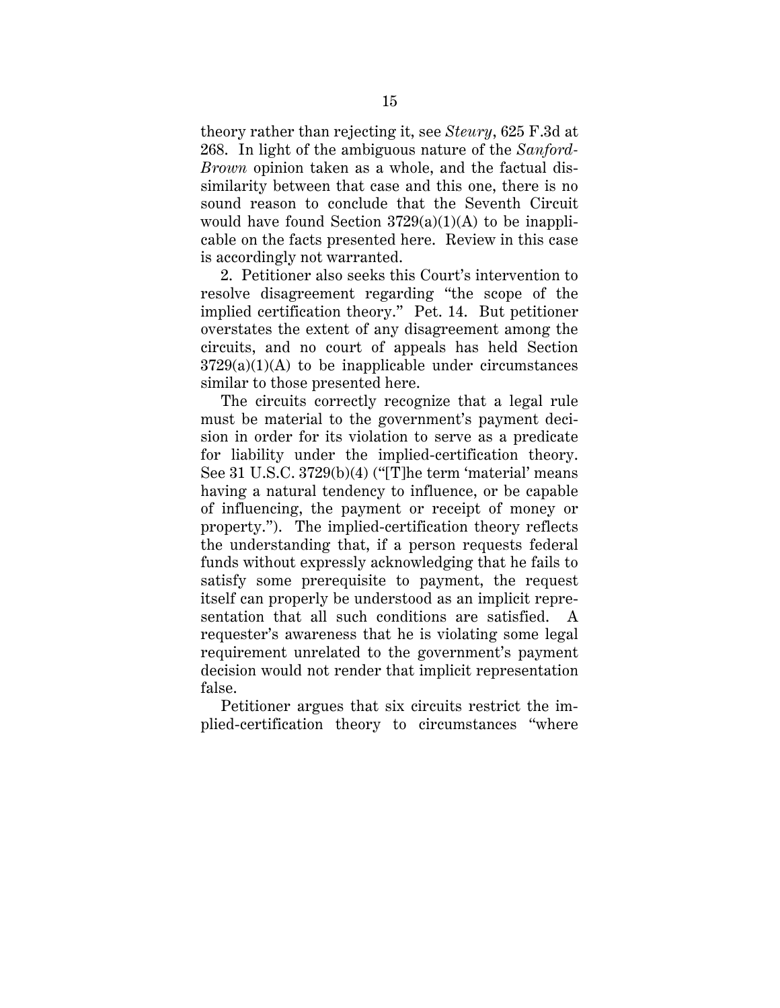theory rather than rejecting it, see *Steury*, 625 F.3d at 268. In light of the ambiguous nature of the *Sanford-Brown* opinion taken as a whole, and the factual dissimilarity between that case and this one, there is no sound reason to conclude that the Seventh Circuit would have found Section  $3729(a)(1)(A)$  to be inapplicable on the facts presented here. Review in this case is accordingly not warranted.

2. Petitioner also seeks this Court's intervention to resolve disagreement regarding "the scope of the implied certification theory." Pet. 14. But petitioner overstates the extent of any disagreement among the circuits, and no court of appeals has held Section  $3729(a)(1)(A)$  to be inapplicable under circumstances similar to those presented here.

The circuits correctly recognize that a legal rule must be material to the government's payment decision in order for its violation to serve as a predicate for liability under the implied-certification theory. See 31 U.S.C. 3729(b)(4) ("[T]he term 'material' means having a natural tendency to influence, or be capable of influencing, the payment or receipt of money or property."). The implied-certification theory reflects the understanding that, if a person requests federal funds without expressly acknowledging that he fails to satisfy some prerequisite to payment, the request itself can properly be understood as an implicit representation that all such conditions are satisfied. A requester's awareness that he is violating some legal requirement unrelated to the government's payment decision would not render that implicit representation false.

Petitioner argues that six circuits restrict the implied-certification theory to circumstances "where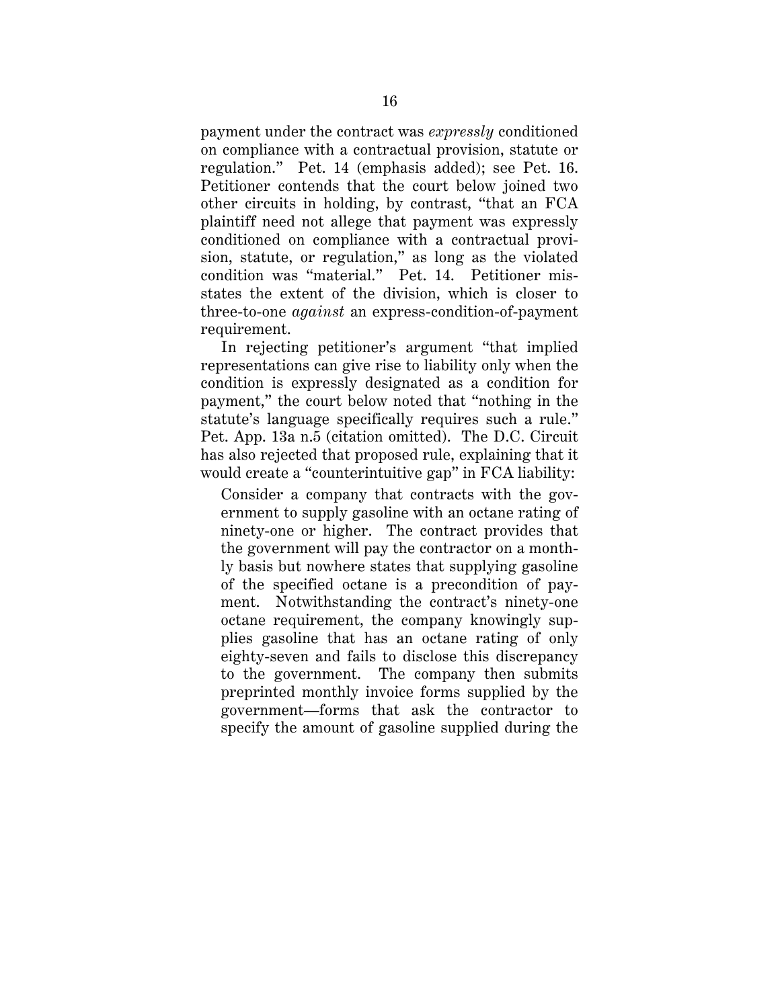payment under the contract was *expressly* conditioned on compliance with a contractual provision, statute or regulation." Pet. 14 (emphasis added); see Pet. 16. Petitioner contends that the court below joined two other circuits in holding, by contrast, "that an FCA plaintiff need not allege that payment was expressly conditioned on compliance with a contractual provision, statute, or regulation," as long as the violated condition was "material." Pet. 14. Petitioner misstates the extent of the division, which is closer to three-to-one *against* an express-condition-of-payment requirement.

In rejecting petitioner's argument "that implied representations can give rise to liability only when the condition is expressly designated as a condition for payment," the court below noted that "nothing in the statute's language specifically requires such a rule." Pet. App. 13a n.5 (citation omitted). The D.C. Circuit has also rejected that proposed rule, explaining that it would create a "counterintuitive gap" in FCA liability:

Consider a company that contracts with the government to supply gasoline with an octane rating of ninety-one or higher. The contract provides that the government will pay the contractor on a monthly basis but nowhere states that supplying gasoline of the specified octane is a precondition of payment. Notwithstanding the contract's ninety-one octane requirement, the company knowingly supplies gasoline that has an octane rating of only eighty-seven and fails to disclose this discrepancy to the government. The company then submits preprinted monthly invoice forms supplied by the government—forms that ask the contractor to specify the amount of gasoline supplied during the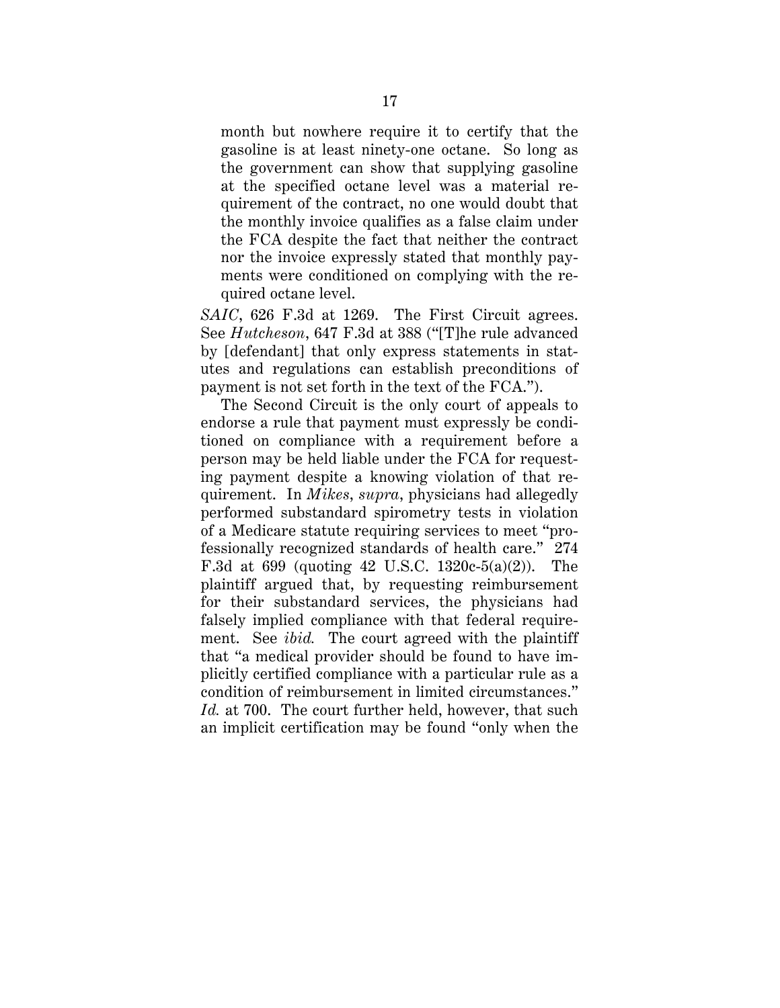month but nowhere require it to certify that the gasoline is at least ninety-one octane. So long as the government can show that supplying gasoline at the specified octane level was a material requirement of the contract, no one would doubt that the monthly invoice qualifies as a false claim under the FCA despite the fact that neither the contract nor the invoice expressly stated that monthly payments were conditioned on complying with the required octane level.

*SAIC*, 626 F.3d at 1269. The First Circuit agrees. See *Hutcheson*, 647 F.3d at 388 ("[T]he rule advanced by [defendant] that only express statements in statutes and regulations can establish preconditions of payment is not set forth in the text of the FCA.").

The Second Circuit is the only court of appeals to endorse a rule that payment must expressly be conditioned on compliance with a requirement before a person may be held liable under the FCA for requesting payment despite a knowing violation of that requirement. In *Mikes*, *supra*, physicians had allegedly performed substandard spirometry tests in violation of a Medicare statute requiring services to meet "professionally recognized standards of health care." 274 F.3d at 699 (quoting 42 U.S.C. 1320c-5(a)(2)). The plaintiff argued that, by requesting reimbursement for their substandard services, the physicians had falsely implied compliance with that federal requirement. See *ibid.* The court agreed with the plaintiff that "a medical provider should be found to have implicitly certified compliance with a particular rule as a condition of reimbursement in limited circumstances." *Id.* at 700. The court further held, however, that such an implicit certification may be found "only when the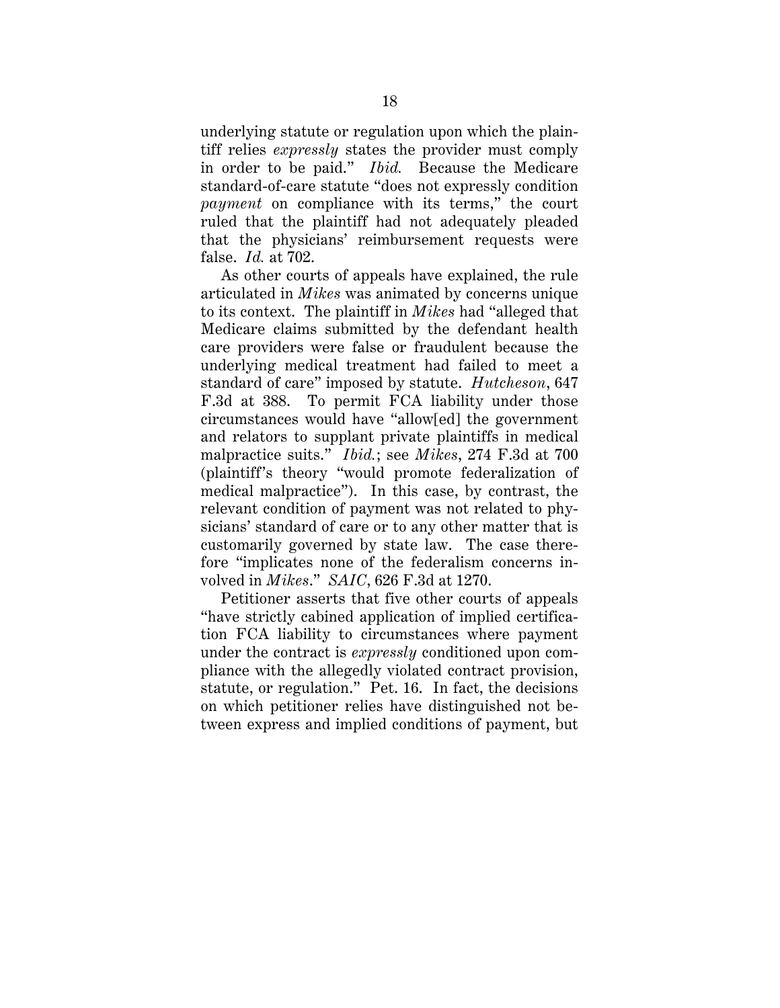underlying statute or regulation upon which the plaintiff relies *expressly* states the provider must comply in order to be paid." *Ibid.* Because the Medicare standard-of-care statute "does not expressly condition *payment* on compliance with its terms," the court ruled that the plaintiff had not adequately pleaded that the physicians' reimbursement requests were false. *Id.* at 702.

As other courts of appeals have explained, the rule articulated in *Mikes* was animated by concerns unique to its context. The plaintiff in *Mikes* had "alleged that Medicare claims submitted by the defendant health care providers were false or fraudulent because the underlying medical treatment had failed to meet a standard of care" imposed by statute. *Hutcheson*, 647 F.3d at 388. To permit FCA liability under those circumstances would have "allow[ed] the government and relators to supplant private plaintiffs in medical malpractice suits." *Ibid.*; see *Mikes*, 274 F.3d at 700 (plaintiff's theory "would promote federalization of medical malpractice"). In this case, by contrast, the relevant condition of payment was not related to physicians' standard of care or to any other matter that is customarily governed by state law. The case therefore "implicates none of the federalism concerns involved in *Mikes*." *SAIC*, 626 F.3d at 1270.

Petitioner asserts that five other courts of appeals "have strictly cabined application of implied certification FCA liability to circumstances where payment under the contract is *expressly* conditioned upon compliance with the allegedly violated contract provision, statute, or regulation." Pet. 16. In fact, the decisions on which petitioner relies have distinguished not between express and implied conditions of payment, but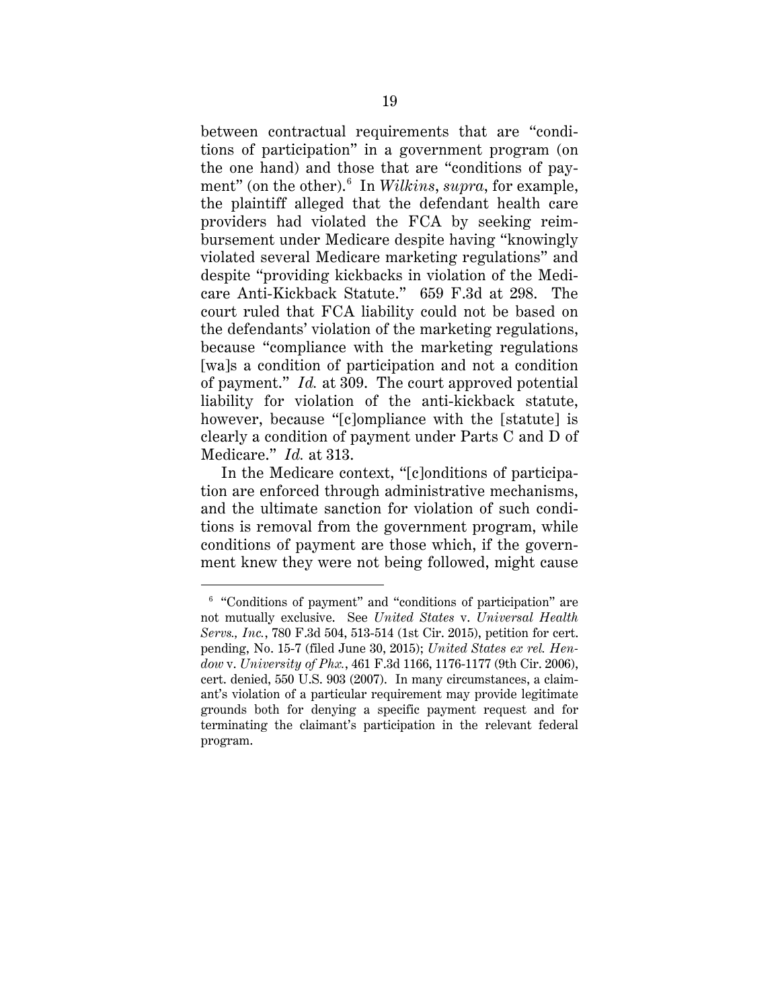between contractual requirements that are "conditions of participation" in a government program (on the one hand) and those that are "conditions of payment" (on the other).6 In *Wilkins*, *supra*, for example, the plaintiff alleged that the defendant health care providers had violated the FCA by seeking reimbursement under Medicare despite having "knowingly violated several Medicare marketing regulations" and despite "providing kickbacks in violation of the Medicare Anti-Kickback Statute." 659 F.3d at 298. The court ruled that FCA liability could not be based on the defendants' violation of the marketing regulations, because "compliance with the marketing regulations [wa]s a condition of participation and not a condition of payment." *Id.* at 309. The court approved potential liability for violation of the anti-kickback statute, however, because "[c]ompliance with the [statute] is clearly a condition of payment under Parts C and D of Medicare." *Id.* at 313.

In the Medicare context, "[c]onditions of participation are enforced through administrative mechanisms, and the ultimate sanction for violation of such conditions is removal from the government program, while conditions of payment are those which, if the government knew they were not being followed, might cause

 <sup>6</sup> "Conditions of payment" and "conditions of participation" are not mutually exclusive. See *United States* v. *Universal Health Servs., Inc.*, 780 F.3d 504, 513-514 (1st Cir. 2015), petition for cert. pending, No. 15-7 (filed June 30, 2015); *United States ex rel. Hendow* v. *University of Phx.*, 461 F.3d 1166, 1176-1177 (9th Cir. 2006), cert. denied, 550 U.S. 903 (2007). In many circumstances, a claimant's violation of a particular requirement may provide legitimate grounds both for denying a specific payment request and for terminating the claimant's participation in the relevant federal program.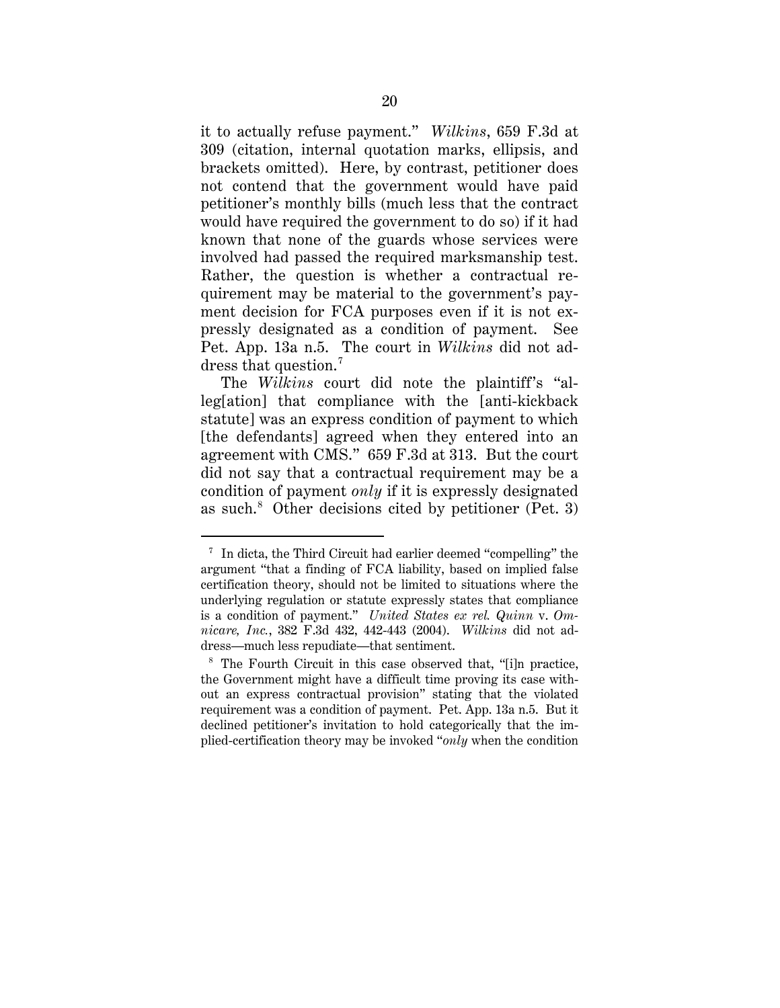it to actually refuse payment." *Wilkins*, 659 F.3d at 309 (citation, internal quotation marks, ellipsis, and brackets omitted). Here, by contrast, petitioner does not contend that the government would have paid petitioner's monthly bills (much less that the contract would have required the government to do so) if it had known that none of the guards whose services were involved had passed the required marksmanship test. Rather, the question is whether a contractual requirement may be material to the government's payment decision for FCA purposes even if it is not expressly designated as a condition of payment. See Pet. App. 13a n.5. The court in *Wilkins* did not address that question. 7

The *Wilkins* court did note the plaintiff's "alleg[ation] that compliance with the [anti-kickback statute] was an express condition of payment to which [the defendants] agreed when they entered into an agreement with CMS." 659 F.3d at 313. But the court did not say that a contractual requirement may be a condition of payment *only* if it is expressly designated as such. $8$  Other decisions cited by petitioner (Pet. 3)

 $7$  In dicta, the Third Circuit had earlier deemed "compelling" the argument "that a finding of FCA liability, based on implied false certification theory, should not be limited to situations where the underlying regulation or statute expressly states that compliance is a condition of payment." *United States ex rel. Quinn* v. *Omnicare, Inc.*, 382 F.3d 432, 442-443 (2004). *Wilkins* did not address—much less repudiate—that sentiment.

<sup>8</sup> The Fourth Circuit in this case observed that, "[i]n practice, the Government might have a difficult time proving its case without an express contractual provision" stating that the violated requirement was a condition of payment. Pet. App. 13a n.5. But it declined petitioner's invitation to hold categorically that the implied-certification theory may be invoked "*only* when the condition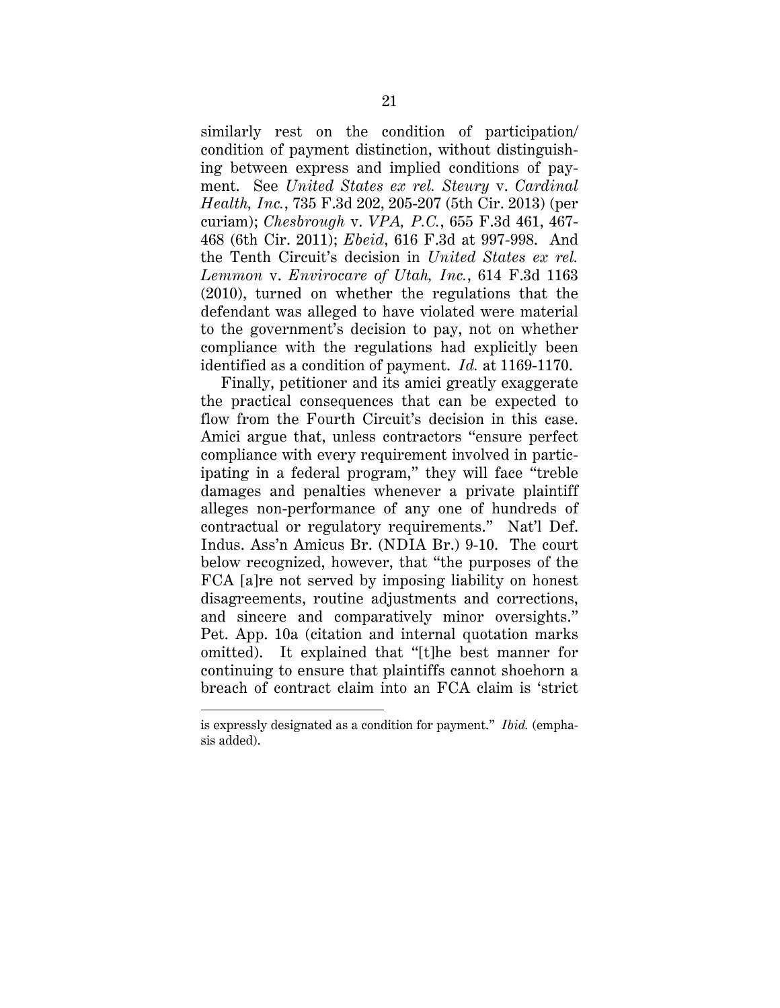similarly rest on the condition of participation/ condition of payment distinction, without distinguishing between express and implied conditions of payment. See *United States ex rel. Steury* v. *Cardinal Health, Inc.*, 735 F.3d 202, 205-207 (5th Cir. 2013) (per curiam); *Chesbrough* v. *VPA, P.C.*, 655 F.3d 461, 467- 468 (6th Cir. 2011); *Ebeid*, 616 F.3d at 997-998. And the Tenth Circuit's decision in *United States ex rel. Lemmon* v. *Envirocare of Utah, Inc.*, 614 F.3d 1163 (2010), turned on whether the regulations that the defendant was alleged to have violated were material to the government's decision to pay, not on whether compliance with the regulations had explicitly been identified as a condition of payment. *Id.* at 1169-1170.

Finally, petitioner and its amici greatly exaggerate the practical consequences that can be expected to flow from the Fourth Circuit's decision in this case. Amici argue that, unless contractors "ensure perfect compliance with every requirement involved in participating in a federal program," they will face "treble damages and penalties whenever a private plaintiff alleges non-performance of any one of hundreds of contractual or regulatory requirements." Nat'l Def. Indus. Ass'n Amicus Br. (NDIA Br.) 9-10. The court below recognized, however, that "the purposes of the FCA [a]re not served by imposing liability on honest disagreements, routine adjustments and corrections, and sincere and comparatively minor oversights." Pet. App. 10a (citation and internal quotation marks omitted). It explained that "[t]he best manner for continuing to ensure that plaintiffs cannot shoehorn a breach of contract claim into an FCA claim is 'strict

 $\overline{a}$ 

is expressly designated as a condition for payment." *Ibid.* (emphasis added).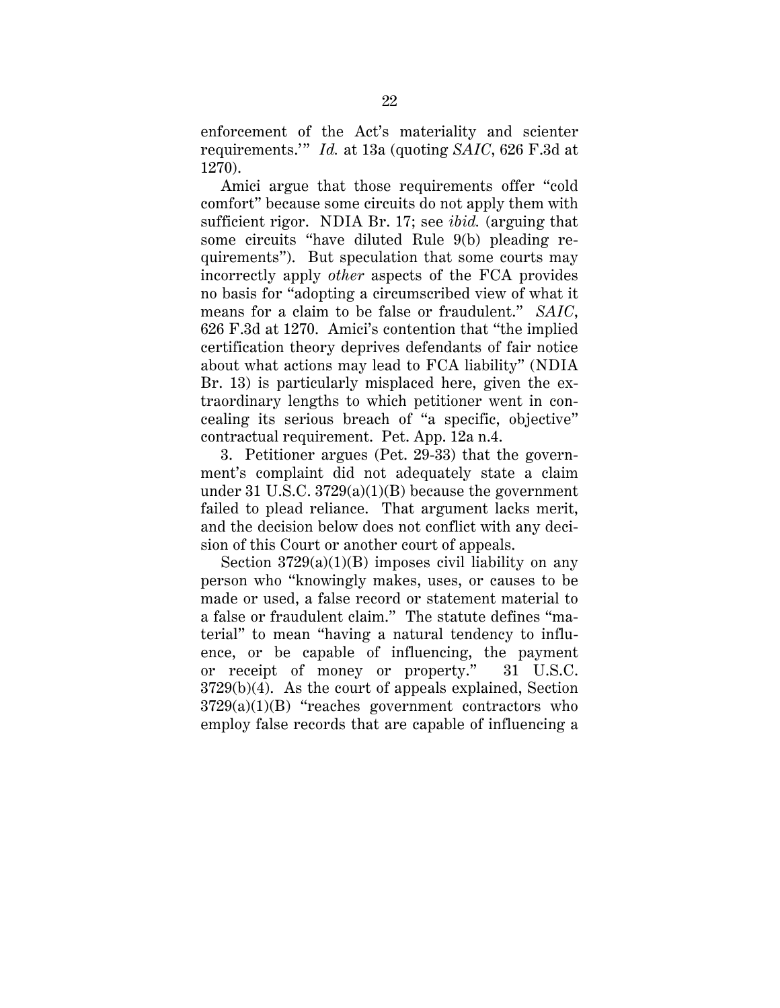enforcement of the Act's materiality and scienter requirements.'" *Id.* at 13a (quoting *SAIC*, 626 F.3d at 1270).

Amici argue that those requirements offer "cold comfort" because some circuits do not apply them with sufficient rigor. NDIA Br. 17; see *ibid.* (arguing that some circuits "have diluted Rule 9(b) pleading requirements"). But speculation that some courts may incorrectly apply *other* aspects of the FCA provides no basis for "adopting a circumscribed view of what it means for a claim to be false or fraudulent." *SAIC*, 626 F.3d at 1270. Amici's contention that "the implied certification theory deprives defendants of fair notice about what actions may lead to FCA liability" (NDIA Br. 13) is particularly misplaced here, given the extraordinary lengths to which petitioner went in concealing its serious breach of "a specific, objective" contractual requirement. Pet. App. 12a n.4.

3. Petitioner argues (Pet. 29-33) that the government's complaint did not adequately state a claim under 31 U.S.C.  $3729(a)(1)(B)$  because the government failed to plead reliance. That argument lacks merit, and the decision below does not conflict with any decision of this Court or another court of appeals.

Section  $3729(a)(1)(B)$  imposes civil liability on any person who "knowingly makes, uses, or causes to be made or used, a false record or statement material to a false or fraudulent claim." The statute defines "material" to mean "having a natural tendency to influence, or be capable of influencing, the payment or receipt of money or property." 31 U.S.C. 3729(b)(4). As the court of appeals explained, Section  $3729(a)(1)(B)$  "reaches government contractors who employ false records that are capable of influencing a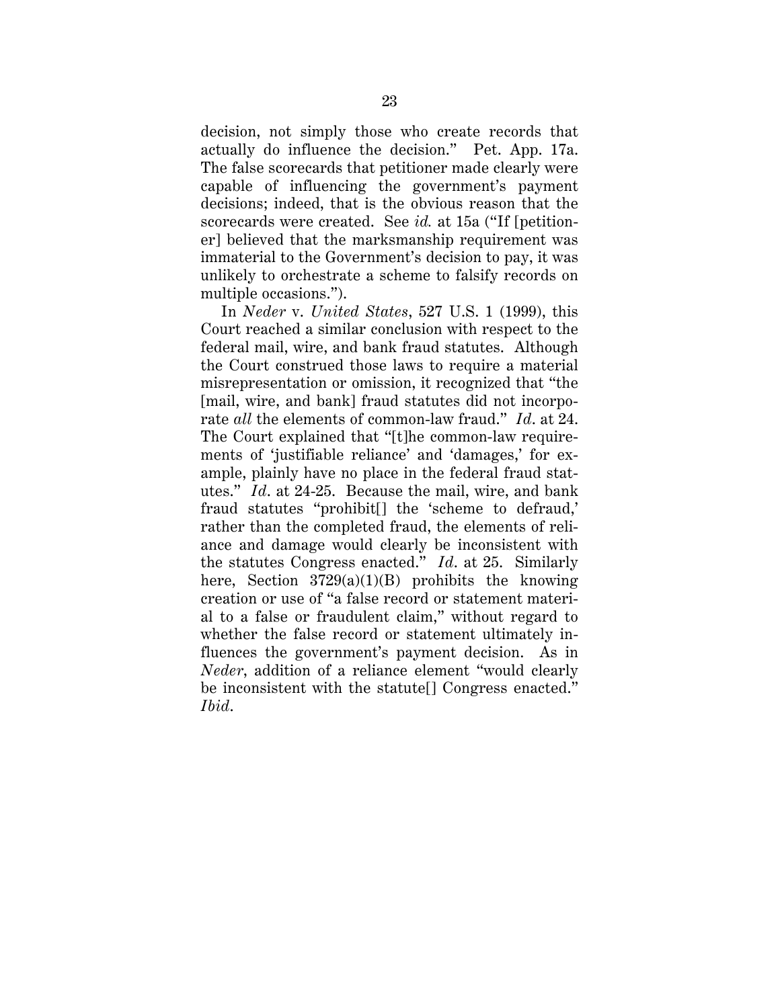decision, not simply those who create records that actually do influence the decision." Pet. App. 17a. The false scorecards that petitioner made clearly were capable of influencing the government's payment decisions; indeed, that is the obvious reason that the scorecards were created. See *id.* at 15a ("If [petitioner] believed that the marksmanship requirement was immaterial to the Government's decision to pay, it was unlikely to orchestrate a scheme to falsify records on multiple occasions.").

In *Neder* v. *United States*, 527 U.S. 1 (1999), this Court reached a similar conclusion with respect to the federal mail, wire, and bank fraud statutes. Although the Court construed those laws to require a material misrepresentation or omission, it recognized that "the [mail, wire, and bank] fraud statutes did not incorporate *all* the elements of common-law fraud." *Id*. at 24. The Court explained that "[t]he common-law requirements of 'justifiable reliance' and 'damages,' for example, plainly have no place in the federal fraud statutes." *Id*. at 24-25. Because the mail, wire, and bank fraud statutes "prohibit[] the 'scheme to defraud,' rather than the completed fraud, the elements of reliance and damage would clearly be inconsistent with the statutes Congress enacted." *Id*. at 25. Similarly here, Section  $3729(a)(1)(B)$  prohibits the knowing creation or use of "a false record or statement material to a false or fraudulent claim," without regard to whether the false record or statement ultimately influences the government's payment decision. As in *Neder*, addition of a reliance element "would clearly be inconsistent with the statute[] Congress enacted." *Ibid*.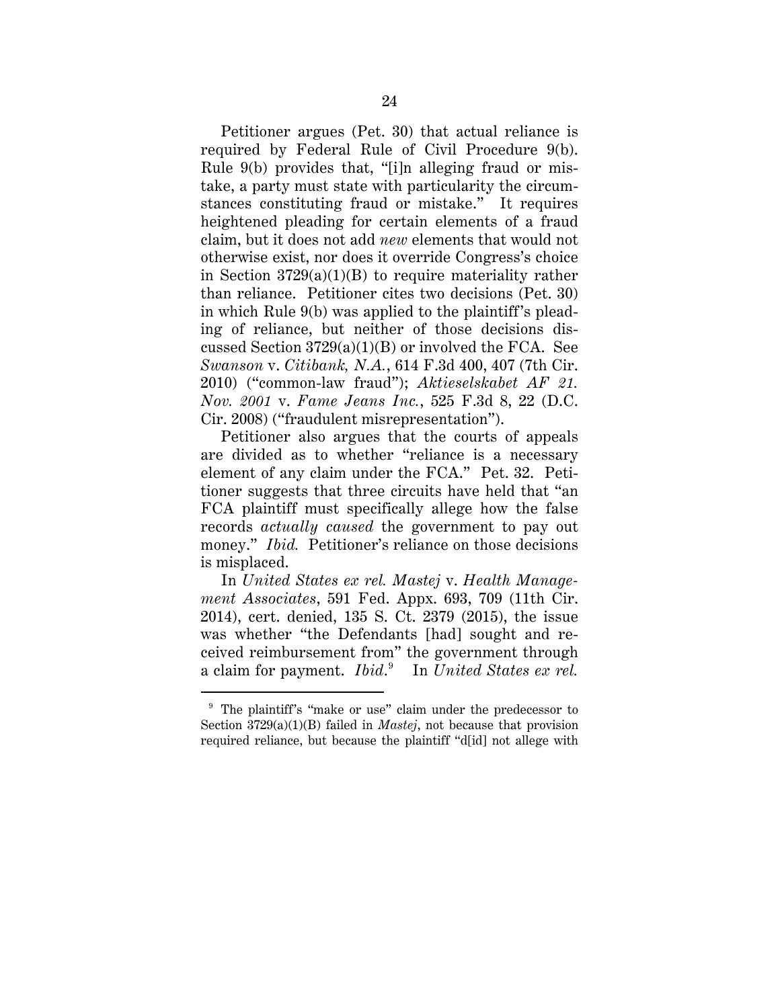Petitioner argues (Pet. 30) that actual reliance is required by Federal Rule of Civil Procedure 9(b). Rule 9(b) provides that, "[i]n alleging fraud or mistake, a party must state with particularity the circumstances constituting fraud or mistake." It requires heightened pleading for certain elements of a fraud claim, but it does not add *new* elements that would not otherwise exist, nor does it override Congress's choice in Section  $3729(a)(1)(B)$  to require materiality rather than reliance. Petitioner cites two decisions (Pet. 30) in which Rule 9(b) was applied to the plaintiff's pleading of reliance, but neither of those decisions discussed Section  $3729(a)(1)(B)$  or involved the FCA. See *Swanson* v. *Citibank, N.A.*, 614 F.3d 400, 407 (7th Cir. 2010) ("common-law fraud"); *Aktieselskabet AF 21. Nov. 2001* v. *Fame Jeans Inc.*, 525 F.3d 8, 22 (D.C. Cir. 2008) ("fraudulent misrepresentation").

Petitioner also argues that the courts of appeals are divided as to whether "reliance is a necessary element of any claim under the FCA." Pet. 32. Petitioner suggests that three circuits have held that "an FCA plaintiff must specifically allege how the false records *actually caused* the government to pay out money." *Ibid.* Petitioner's reliance on those decisions is misplaced.

In *United States ex rel. Mastej* v. *Health Management Associates*, 591 Fed. Appx. 693, 709 (11th Cir. 2014), cert. denied, 135 S. Ct. 2379 (2015), the issue was whether "the Defendants [had] sought and received reimbursement from" the government through a claim for payment. *Ibid*. 9 In *United States ex rel.* 

<sup>&</sup>lt;sup>9</sup> The plaintiff's "make or use" claim under the predecessor to Section 3729(a)(1)(B) failed in *Mastej*, not because that provision required reliance, but because the plaintiff "d[id] not allege with